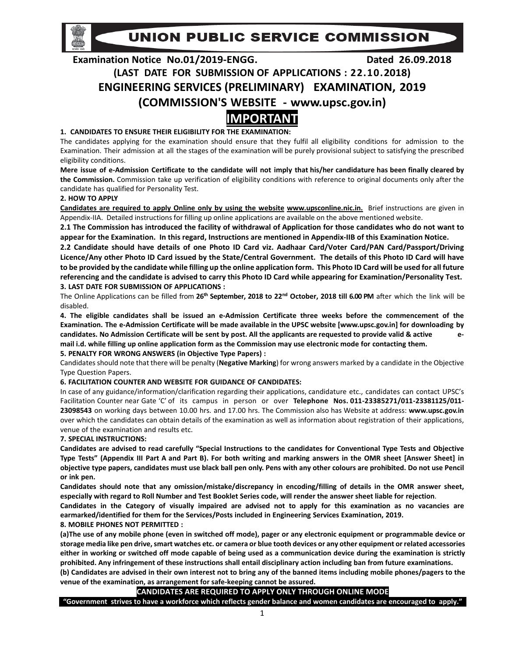UNION PUBLIC SERVICE COMMISSION

# **Examination Notice No.01/2019‐ENGG. Dated 26.09.2018 (LAST DATE FOR SUBMISSION OF APPLICATIONS : 22.10.2018) ENGINEERING SERVICES (PRELIMINARY) EXAMINATION, 2019 (COMMISSION'S WEBSITE ‐ www.upsc.gov.in)**

# **IMPORTANT**

# **1. CANDIDATES TO ENSURE THEIR ELIGIBILITY FOR THE EXAMINATION:**

The candidates applying for the examination should ensure that they fulfil all eligibility conditions for admission to the Examination. Their admission at all the stages of the examination will be purely provisional subject to satisfying the prescribed eligibility conditions.

**Mere issue of e‐Admission Certificate to the candidate will not imply that his/her candidature has been finally cleared by the Commission.** Commission take up verification of eligibility conditions with reference to original documents only after the candidate has qualified for Personality Test.

# **2. HOW TO APPLY**

**Candidates are required to apply Online only by using the website www.upsconline.nic.in.** Brief instructions are given in Appendix‐IIA. Detailed instructions for filling up online applications are available on the above mentioned website.

**2.1 The Commission has introduced the facility of withdrawal of Application for those candidates who do not want to appear for the Examination. In this regard, Instructions are mentioned in Appendix‐IIB of this Examination Notice.** 

**2.2 Candidate should have details of one Photo ID Card viz. Aadhaar Card/Voter Card/PAN Card/Passport/Driving Licence/Any other Photo ID Card issued by the State/Central Government. The details of this Photo ID Card will have to be provided by the candidate while filling up the online application form. This Photo ID Card will be used for all future referencing and the candidate is advised to carry this Photo ID Card while appearing for Examination/Personality Test. 3. LAST DATE FOR SUBMISSION OF APPLICATIONS :**

The Online Applications can be filled from 26<sup>th</sup> September, 2018 to 22<sup>nd</sup> October, 2018 till 6.00 PM after which the link will be disabled.

**4. The eligible candidates shall be issued an e‐Admission Certificate three weeks before the commencement of the Examination. The e‐Admission Certificate will be made available in the UPSC website [www.upsc.gov.in] for downloading by candidates. No Admission Certificate will be sent by post. All the applicants are requested to provide valid & active e‐ mail i.d. while filling up online application form as the Commission may use electronic mode for contacting them. 5. PENALTY FOR WRONG ANSWERS (in Objective Type Papers) :**

Candidates should note that there will be penalty (**Negative Marking**) for wrong answers marked by a candidate in the Objective Type Question Papers.

# **6. FACILITATION COUNTER AND WEBSITE FOR GUIDANCE OF CANDIDATES:**

In case of any guidance/information/clarification regarding their applications, candidature etc., candidates can contact UPSC's Facilitation Counter near Gate 'C' of its campus in person or over Telephone Nos. 011-23385271/011-23381125/011-**23098543** on working days between 10.00 hrs. and 17.00 hrs. The Commission also has Website at address: **www.upsc.gov.in**  over which the candidates can obtain details of the examination as well as information about registration of their applications, venue of the examination and results etc.

# **7. SPECIAL INSTRUCTIONS:**

**Candidates are advised to read carefully "Special Instructions to the candidates for Conventional Type Tests and Objective Type Tests" (Appendix III Part A and Part B). For both writing and marking answers in the OMR sheet [Answer Sheet] in objective type papers, candidates must use black ball pen only. Pens with any other colours are prohibited. Do not use Pencil or ink pen.**

**Candidates should note that any omission/mistake/discrepancy in encoding/filling of details in the OMR answer sheet, especially with regard to Roll Number and Test Booklet Series code, will render the answer sheet liable for rejection**.

**Candidates in the Category of visually impaired are advised not to apply for this examination as no vacancies are earmarked/identified for them for the Services/Posts included in Engineering Services Examination, 2019.**

## **8. MOBILE PHONES NOT PERMITTED :**

**(a)The use of any mobile phone (even in switched off mode), pager or any electronic equipment or programmable device or storage media like pen drive, smart watches etc. or camera or blue tooth devices or any other equipment or related accessories either in working or switched off mode capable of being used as a communication device during the examination is strictly prohibited. Any infringement of these instructions shall entail disciplinary action including ban from future examinations. (b) Candidates are advised in their own interest not to bring any of the banned items including mobile phones/pagers to the venue of the examination, as arrangement for safe‐keeping cannot be assured.** 

# **CANDIDATES ARE REQUIRED TO APPLY ONLY THROUGH ONLINE MODE**

**"Government strives to have a workforce which reflects gender balance and women candidates are encouraged to apply."**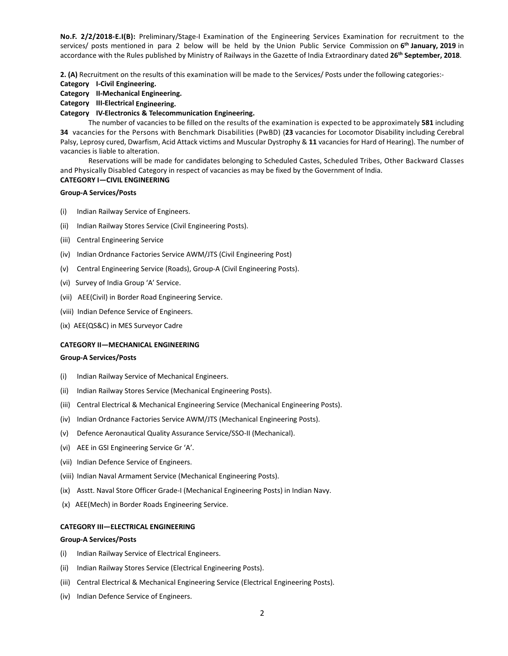**No.F. 2/2/2018‐E.I(B):**  Preliminary/Stage‐I Examination of the Engineering Services Examination for recruitment to the services/ posts mentioned in para 2 below will be held by the Union Public Service Commission on **6th January, 2019** in accordance with the Rules published by Ministry of Railways in the Gazette of India Extraordinary dated **26th September, 2018**.

**2. (A)** Recruitment on the results of this examination will be made to the Services/ Posts under the following categories:‐

**Category I‐Civil Engineering.** 

# **Category II‐Mechanical Engineering.**

## **Category III‐Electrical Engineering.**

# **Category IV‐Electronics & Telecommunication Engineering.**

 The number of vacancies to be filled on the results of the examination is expected to be approximately **581** including **34** vacancies for the Persons with Benchmark Disabilities (PwBD) (**23** vacancies for Locomotor Disability including Cerebral Palsy, Leprosy cured, Dwarfism, Acid Attack victims and Muscular Dystrophy & **11** vacancies for Hard of Hearing). The number of vacancies is liable to alteration.

 Reservations will be made for candidates belonging to Scheduled Castes, Scheduled Tribes, Other Backward Classes and Physically Disabled Category in respect of vacancies as may be fixed by the Government of India.

# **CATEGORY I—CIVIL ENGINEERING**

## **Group‐A Services/Posts**

- (i) Indian Railway Service of Engineers.
- (ii) Indian Railway Stores Service (Civil Engineering Posts).
- (iii) Central Engineering Service
- (iv) Indian Ordnance Factories Service AWM/JTS (Civil Engineering Post)
- (v) Central Engineering Service (Roads), Group‐A (Civil Engineering Posts).
- (vi) Survey of India Group 'A' Service.
- (vii) AEE(Civil) in Border Road Engineering Service.
- (viii) Indian Defence Service of Engineers.
- (ix) AEE(QS&C) in MES Surveyor Cadre

#### **CATEGORY II—MECHANICAL ENGINEERING**

#### **Group‐A Services/Posts**

- (i) Indian Railway Service of Mechanical Engineers.
- (ii) Indian Railway Stores Service (Mechanical Engineering Posts).
- (iii) Central Electrical & Mechanical Engineering Service (Mechanical Engineering Posts).
- (iv) Indian Ordnance Factories Service AWM/JTS (Mechanical Engineering Posts).
- (v) Defence Aeronautical Quality Assurance Service/SSO‐II (Mechanical).
- (vi) AEE in GSI Engineering Service Gr 'A'.
- (vii) Indian Defence Service of Engineers.
- (viii) Indian Naval Armament Service (Mechanical Engineering Posts).
- (ix) Asstt. Naval Store Officer Grade‐I (Mechanical Engineering Posts) in Indian Navy.
- (x) AEE(Mech) in Border Roads Engineering Service.

#### **CATEGORY III—ELECTRICAL ENGINEERING**

#### **Group‐A Services/Posts**

- (i) Indian Railway Service of Electrical Engineers.
- (ii) Indian Railway Stores Service (Electrical Engineering Posts).
- (iii) Central Electrical & Mechanical Engineering Service (Electrical Engineering Posts).
- (iv) Indian Defence Service of Engineers.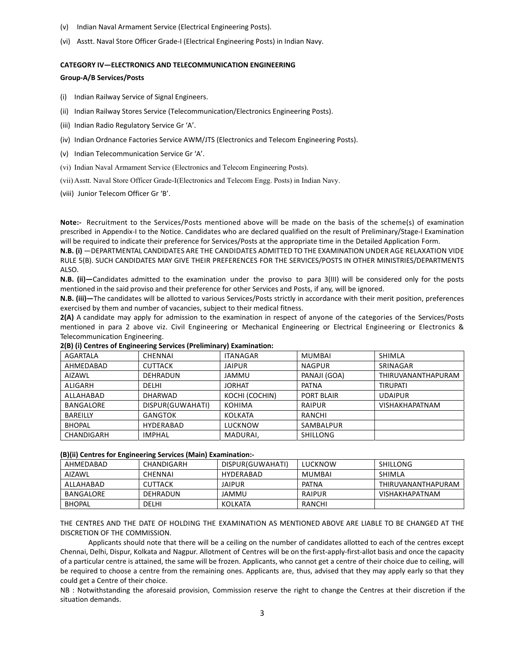- (v) Indian Naval Armament Service (Electrical Engineering Posts).
- (vi) Asstt. Naval Store Officer Grade‐I (Electrical Engineering Posts) in Indian Navy.

#### **CATEGORY IV—ELECTRONICS AND TELECOMMUNICATION ENGINEERING**

#### **Group‐A/B Services/Posts**

- (i) Indian Railway Service of Signal Engineers.
- (ii) Indian Railway Stores Service (Telecommunication/Electronics Engineering Posts).
- (iii) Indian Radio Regulatory Service Gr 'A'.
- (iv) Indian Ordnance Factories Service AWM/JTS (Electronics and Telecom Engineering Posts).
- (v) Indian Telecommunication Service Gr 'A'.
- (vi) Indian Naval Armament Service (Electronics and Telecom Engineering Posts).
- (vii) Asstt. Naval Store Officer Grade-I(Electronics and Telecom Engg. Posts) in Indian Navy.
- (viii) Junior Telecom Officer Gr 'B'.

Note:- Recruitment to the Services/Posts mentioned above will be made on the basis of the scheme(s) of examination prescribed in Appendix‐I to the Notice. Candidates who are declared qualified on the result of Preliminary/Stage‐I Examination will be required to indicate their preference for Services/Posts at the appropriate time in the Detailed Application Form.

**N.B. (i)** —DEPARTMENTAL CANDIDATES ARE THE CANDIDATES ADMITTED TO THE EXAMINATION UNDER AGE RELAXATION VIDE RULE 5(B). SUCH CANDIDATES MAY GIVE THEIR PREFERENCES FOR THE SERVICES/POSTS IN OTHER MINISTRIES/DEPARTMENTS ALSO.

**N.B. (ii)—**Candidates admitted to the examination under the proviso to para 3(III) will be considered only for the posts mentioned in the said proviso and their preference for other Services and Posts, if any, will be ignored.

**N.B. (iii)—**The candidates will be allotted to various Services/Posts strictly in accordance with their merit position, preferences exercised by them and number of vacancies, subject to their medical fitness.

**2(A)** A candidate may apply for admission to the examination in respect of anyone of the categories of the Services/Posts mentioned in para 2 above viz. Civil Engineering or Mechanical Engineering or Electrical Engineering or Electronics & Telecommunication Engineering.

| THIRUVANANTHAPURAM    |
|-----------------------|
|                       |
|                       |
| <b>VISHAKHAPATNAM</b> |
|                       |
|                       |
|                       |
|                       |

**2(B) (i) Centres of Engineering Services (Preliminary) Examination:** 

#### **(B)(ii) Centres for Engineering Services (Main) Examination:‐**

| AHMEDABAD     | CHANDIGARH     | DISPUR(GUWAHATI) | LUCKNOW      | SHILLONG              |
|---------------|----------------|------------------|--------------|-----------------------|
| AIZAWL        | CHENNAI        | HYDERABAD        | MUMBAI       | SHIMLA                |
| ALLAHABAD     | <b>CUTTACK</b> | <b>JAIPUR</b>    | <b>PATNA</b> | THIRUVANANTHAPURAM    |
| BANGALORE     | DEHRADUN       | JAMMU            | RAIPUR       | <b>VISHAKHAPATNAM</b> |
| <b>BHOPAL</b> | <b>DELHI</b>   | KOLKATA          | RANCHI       |                       |

THE CENTRES AND THE DATE OF HOLDING THE EXAMINATION AS MENTIONED ABOVE ARE LIABLE TO BE CHANGED AT THE DISCRETION OF THE COMMISSION.

 Applicants should note that there will be a ceiling on the number of candidates allotted to each of the centres except Chennai, Delhi, Dispur, Kolkata and Nagpur. Allotment of Centres will be on the first‐apply‐first‐allot basis and once the capacity of a particular centre is attained, the same will be frozen. Applicants, who cannot get a centre of their choice due to ceiling, will be required to choose a centre from the remaining ones. Applicants are, thus, advised that they may apply early so that they could get a Centre of their choice.

NB : Notwithstanding the aforesaid provision, Commission reserve the right to change the Centres at their discretion if the situation demands.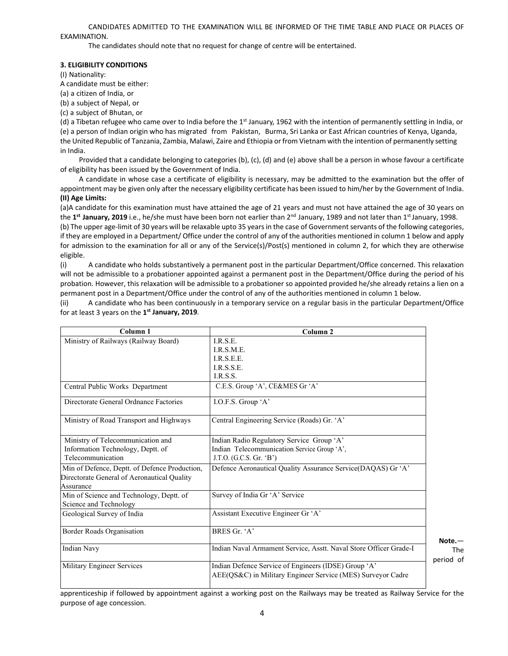CANDIDATES ADMITTED TO THE EXAMINATION WILL BE INFORMED OF THE TIME TABLE AND PLACE OR PLACES OF EXAMINATION.

The candidates should note that no request for change of centre will be entertained.

#### **3. ELIGIBILITY CONDITIONS**

(I) Nationality:

A candidate must be either:

(a) a citizen of India, or

(b) a subject of Nepal, or

(c) a subject of Bhutan, or

(d) a Tibetan refugee who came over to India before the  $1<sup>st</sup>$  January, 1962 with the intention of permanently settling in India, or (e) a person of Indian origin who has migrated from Pakistan, Burma, Sri Lanka or East African countries of Kenya, Uganda, the United Republic of Tanzania, Zambia, Malawi, Zaire and Ethiopia or from Vietnam with the intention of permanently setting in India.

Provided that a candidate belonging to categories (b), (c), (d) and (e) above shall be a person in whose favour a certificate of eligibility has been issued by the Government of India.

A candidate in whose case a certificate of eligibility is necessary, may be admitted to the examination but the offer of appointment may be given only after the necessary eligibility certificate has been issued to him/her by the Government of India. **(II) Age Limits:**

(a)A candidate for this examination must have attained the age of 21 years and must not have attained the age of 30 years on the 1<sup>st</sup> January, 2019 i.e., he/she must have been born not earlier than 2<sup>nd</sup> January, 1989 and not later than 1<sup>st</sup> January, 1998.

(b) The upper age‐limit of 30 years will be relaxable upto 35 years in the case of Government servants of the following categories, if they are employed in a Department/ Office under the control of any of the authorities mentioned in column 1 below and apply for admission to the examination for all or any of the Service(s)/Post(s) mentioned in column 2, for which they are otherwise eligible.

(i) A candidate who holds substantively a permanent post in the particular Department/Office concerned. This relaxation will not be admissible to a probationer appointed against a permanent post in the Department/Office during the period of his probation. However, this relaxation will be admissible to a probationer so appointed provided he/she already retains a lien on a permanent post in a Department/Office under the control of any of the authorities mentioned in column 1 below.

(ii) A candidate who has been continuously in a temporary service on a regular basis in the particular Department/Office for at least 3 years on the **1st January, 2019**.

| Column <sub>1</sub>                           | Column <sub>2</sub>                                               |                         |
|-----------------------------------------------|-------------------------------------------------------------------|-------------------------|
| Ministry of Railways (Railway Board)          | I.R.S.E.                                                          |                         |
|                                               | I.R.S.M.E.                                                        |                         |
|                                               | I.R.S.E.E.                                                        |                         |
|                                               | I.R.S.S.E.                                                        |                         |
|                                               | I.R.S.S.                                                          |                         |
| Central Public Works Department               | C.E.S. Group 'A', CE&MES Gr 'A'                                   |                         |
| Directorate General Ordnance Factories        | I.O.F.S. Group 'A'                                                |                         |
| Ministry of Road Transport and Highways       | Central Engineering Service (Roads) Gr. 'A'                       |                         |
| Ministry of Telecommunication and             | Indian Radio Regulatory Service Group 'A'                         |                         |
| Information Technology, Deptt. of             | Indian Telecommunication Service Group 'A',                       |                         |
| Telecommunication                             | J.T.O. (G.C.S. Gr. 'B')                                           |                         |
| Min of Defence, Deptt. of Defence Production, | Defence Aeronautical Quality Assurance Service(DAQAS) Gr 'A'      |                         |
| Directorate General of Aeronautical Quality   |                                                                   |                         |
| Assurance                                     |                                                                   |                         |
| Min of Science and Technology, Deptt. of      | Survey of India Gr 'A' Service                                    |                         |
| Science and Technology                        |                                                                   |                         |
| Geological Survey of India                    | Assistant Executive Engineer Gr 'A'                               |                         |
| Border Roads Organisation                     | BRES Gr. 'A'                                                      |                         |
| <b>Indian Navy</b>                            | Indian Naval Armament Service, Asstt. Naval Store Officer Grade-I | $Note. -$<br><b>The</b> |
| Military Engineer Services                    | Indian Defence Service of Engineers (IDSE) Group 'A'              | period of               |
|                                               | AEE(QS&C) in Military Engineer Service (MES) Surveyor Cadre       |                         |

apprenticeship if followed by appointment against a working post on the Railways may be treated as Railway Service for the purpose of age concession.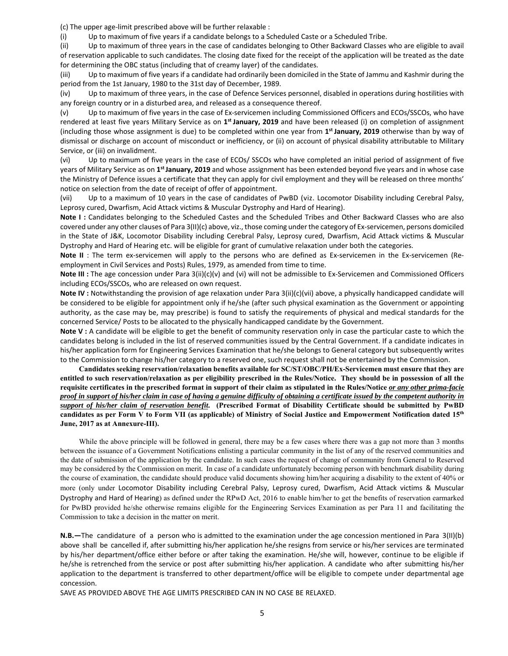(c) The upper age‐limit prescribed above will be further relaxable :

(i) Up to maximum of five years if a candidate belongs to a Scheduled Caste or a Scheduled Tribe.

(ii) Up to maximum of three years in the case of candidates belonging to Other Backward Classes who are eligible to avail of reservation applicable to such candidates. The closing date fixed for the receipt of the application will be treated as the date for determining the OBC status (including that of creamy layer) of the candidates.

(iii) Up to maximum of five years if a candidate had ordinarily been domiciled in the State of Jammu and Kashmir during the period from the 1st January, 1980 to the 31st day of December, 1989.

(iv) Up to maximum of three years, in the case of Defence Services personnel, disabled in operations during hostilities with any foreign country or in a disturbed area, and released as a consequence thereof.

(v) Up to maximum of five years in the case of Ex‐servicemen including Commissioned Officers and ECOs/SSCOs, who have rendered at least five years Military Service as on **1st January, 2019** and have been released (i) on completion of assignment (including those whose assignment is due) to be completed within one year from **1st January, 2019** otherwise than by way of dismissal or discharge on account of misconduct or inefficiency, or (ii) on account of physical disability attributable to Military Service, or (iii) on invalidment.

(vi) Up to maximum of five years in the case of ECOs/ SSCOs who have completed an initial period of assignment of five years of Military Service as on **1st January, 2019** and whose assignment has been extended beyond five years and in whose case the Ministry of Defence issues a certificate that they can apply for civil employment and they will be released on three months' notice on selection from the date of receipt of offer of appointment.

(vii) Up to a maximum of 10 years in the case of candidates of PwBD (viz. Locomotor Disability including Cerebral Palsy, Leprosy cured, Dwarfism, Acid Attack victims & Muscular Dystrophy and Hard of Hearing).

Note I: Candidates belonging to the Scheduled Castes and the Scheduled Tribes and Other Backward Classes who are also covered under any other clauses of Para 3(II)(c) above, viz., those coming under the category of Ex‐servicemen, persons domiciled in the State of J&K, Locomotor Disability including Cerebral Palsy, Leprosy cured, Dwarfism, Acid Attack victims & Muscular Dystrophy and Hard of Hearing etc. will be eligible for grant of cumulative relaxation under both the categories.

**Note II** : The term ex-servicemen will apply to the persons who are defined as Ex-servicemen in the Ex-servicemen (Reemployment in Civil Services and Posts) Rules, 1979, as amended from time to time.

**Note III :** The age concession under Para 3(ii)(c)(v) and (vi) will not be admissible to Ex‐Servicemen and Commissioned Officers including ECOs/SSCOs, who are released on own request.

**Note IV :** Notwithstanding the provision of age relaxation under Para 3(ii)(c)(vii) above, a physically handicapped candidate will be considered to be eligible for appointment only if he/she (after such physical examination as the Government or appointing authority, as the case may be, may prescribe) is found to satisfy the requirements of physical and medical standards for the concerned Service/ Posts to be allocated to the physically handicapped candidate by the Government.

**Note V :** A candidate will be eligible to get the benefit of community reservation only in case the particular caste to which the candidates belong is included in the list of reserved communities issued by the Central Government. If a candidate indicates in his/her application form for Engineering Services Examination that he/she belongs to General category but subsequently writes to the Commission to change his/her category to a reserved one, such request shall not be entertained by the Commission.

**Candidates seeking reservation/relaxation benefits available for SC/ST/OBC/PH/Ex-Servicemen must ensure that they are entitled to such reservation/relaxation as per eligibility prescribed in the Rules/Notice. They should be in possession of all the requisite certificates in the prescribed format in support of their claim as stipulated in the Rules/Notice** *or any other prima-facie proof in support of his/her claim in case of having a genuine difficulty of obtaining a certificate issued by the competent authority in support of his/her claim of reservation benefit***. (Prescribed Format of Disability Certificate should be submitted by PwBD candidates as per Form V to Form VII (as applicable) of Ministry of Social Justice and Empowerment Notification dated 15th June, 2017 as at Annexure-III).** 

While the above principle will be followed in general, there may be a few cases where there was a gap not more than 3 months between the issuance of a Government Notifications enlisting a particular community in the list of any of the reserved communities and the date of submission of the application by the candidate. In such cases the request of change of community from General to Reserved may be considered by the Commission on merit. In case of a candidate unfortunately becoming person with benchmark disability during the course of examination, the candidate should produce valid documents showing him/her acquiring a disability to the extent of 40% or more (only under Locomotor Disability including Cerebral Palsy, Leprosy cured, Dwarfism, Acid Attack victims & Muscular Dystrophy and Hard of Hearing) as defined under the RPwD Act, 2016 to enable him/her to get the benefits of reservation earmarked for PwBD provided he/she otherwise remains eligible for the Engineering Services Examination as per Para 11 and facilitating the Commission to take a decision in the matter on merit.

**N.B.—**The candidature of a person who is admitted to the examination under the age concession mentioned in Para 3(II)(b) above shall be cancelled if, after submitting his/her application he/she resigns from service or his/her services are terminated by his/her department/office either before or after taking the examination. He/she will, however, continue to be eligible if he/she is retrenched from the service or post after submitting his/her application. A candidate who after submitting his/her application to the department is transferred to other department/office will be eligible to compete under departmental age concession.

SAVE AS PROVIDED ABOVE THE AGE LIMITS PRESCRIBED CAN IN NO CASE BE RELAXED.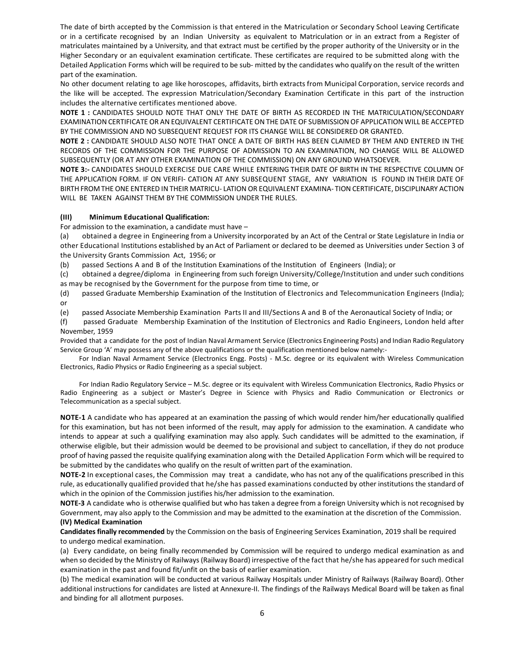The date of birth accepted by the Commission is that entered in the Matriculation or Secondary School Leaving Certificate or in a certificate recognised by an Indian University as equivalent to Matriculation or in an extract from a Register of matriculates maintained by a University, and that extract must be certified by the proper authority of the University or in the Higher Secondary or an equivalent examination certificate. These certificates are required to be submitted along with the Detailed Application Forms which will be required to be sub‐ mitted by the candidates who qualify on the result of the written part of the examination.

No other document relating to age like horoscopes, affidavits, birth extracts from Municipal Corporation, service records and the like will be accepted. The expression Matriculation/Secondary Examination Certificate in this part of the instruction includes the alternative certificates mentioned above.

**NOTE 1 :** CANDIDATES SHOULD NOTE THAT ONLY THE DATE OF BIRTH AS RECORDED IN THE MATRICULATION/SECONDARY EXAMINATION CERTIFICATE OR AN EQUIVALENT CERTIFICATE ON THE DATE OF SUBMISSION OF APPLICATION WILL BE ACCEPTED BY THE COMMISSION AND NO SUBSEQUENT REQUEST FOR ITS CHANGE WILL BE CONSIDERED OR GRANTED.

**NOTE 2 :** CANDIDATE SHOULD ALSO NOTE THAT ONCE A DATE OF BIRTH HAS BEEN CLAIMED BY THEM AND ENTERED IN THE RECORDS OF THE COMMISSION FOR THE PURPOSE OF ADMISSION TO AN EXAMINATION, NO CHANGE WILL BE ALLOWED SUBSEQUENTLY (OR AT ANY OTHER EXAMINATION OF THE COMMISSION) ON ANY GROUND WHATSOEVER.

**NOTE 3:‐** CANDIDATES SHOULD EXERCISE DUE CARE WHILE ENTERING THEIR DATE OF BIRTH IN THE RESPECTIVE COLUMN OF THE APPLICATION FORM. IF ON VERIFI‐ CATION AT ANY SUBSEQUENT STAGE, ANY VARIATION IS FOUND IN THEIR DATE OF BIRTH FROM THE ONE ENTERED IN THEIR MATRICU‐ LATION OR EQUIVALENT EXAMINA‐ TION CERTIFICATE, DISCIPLINARY ACTION WILL BE TAKEN AGAINST THEM BY THE COMMISSION UNDER THE RULES.

## **(III) Minimum Educational Qualification:**

For admission to the examination, a candidate must have –

(a) obtained a degree in Engineering from a University incorporated by an Act of the Central or State Legislature in India or other Educational Institutions established by an Act of Parliament or declared to be deemed as Universities under Section 3 of the University Grants Commission Act, 1956; or

(b) passed Sections A and B of the Institution Examinations of the Institution of Engineers (India); or

(c) obtained a degree/diploma in Engineering from such foreign University/College/Institution and under such conditions as may be recognised by the Government for the purpose from time to time, or

(d) passed Graduate Membership Examination of the Institution of Electronics and Telecommunication Engineers (India); or

(e) passed Associate Membership Examination Parts II and III/Sections A and B of the Aeronautical Society of India; or

(f) passed Graduate Membership Examination of the Institution of Electronics and Radio Engineers, London held after November, 1959

Provided that a candidate for the post of Indian Naval Armament Service (Electronics Engineering Posts) and Indian Radio Regulatory Service Group 'A' may possess any of the above qualifications or the qualification mentioned below namely:-

For Indian Naval Armament Service (Electronics Engg. Posts) - M.Sc. degree or its equivalent with Wireless Communication Electronics, Radio Physics or Radio Engineering as a special subject.

For Indian Radio Regulatory Service – M.Sc. degree or its equivalent with Wireless Communication Electronics, Radio Physics or Radio Engineering as a subject or Master's Degree in Science with Physics and Radio Communication or Electronics or Telecommunication as a special subject.

**NOTE‐1** A candidate who has appeared at an examination the passing of which would render him/her educationally qualified for this examination, but has not been informed of the result, may apply for admission to the examination. A candidate who intends to appear at such a qualifying examination may also apply. Such candidates will be admitted to the examination, if otherwise eligible, but their admission would be deemed to be provisional and subject to cancellation, if they do not produce proof of having passed the requisite qualifying examination along with the Detailed Application Form which will be required to be submitted by the candidates who qualify on the result of written part of the examination.

**NOTE‐2** In exceptional cases, the Commission may treat a candidate, who has not any of the qualifications prescribed in this rule, as educationally qualified provided that he/she has passed examinations conducted by other institutions the standard of which in the opinion of the Commission justifies his/her admission to the examination.

**NOTE‐3** A candidate who is otherwise qualified but who has taken a degree from a foreign University which is not recognised by Government, may also apply to the Commission and may be admitted to the examination at the discretion of the Commission. **(IV) Medical Examination** 

**Candidates finally recommended** by the Commission on the basis of Engineering Services Examination, 2019 shall be required to undergo medical examination.

(a) Every candidate, on being finally recommended by Commission will be required to undergo medical examination as and when so decided by the Ministry of Railways (Railway Board) irrespective of the fact that he/she has appeared for such medical examination in the past and found fit/unfit on the basis of earlier examination.

(b) The medical examination will be conducted at various Railway Hospitals under Ministry of Railways (Railway Board). Other additional instructions for candidates are listed at Annexure‐II. The findings of the Railways Medical Board will be taken as final and binding for all allotment purposes.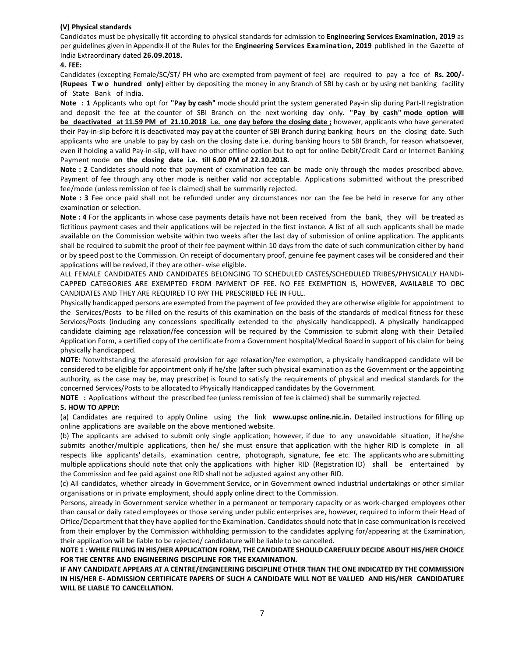## **(V) Physical standards**

Candidates must be physically fit according to physical standards for admission to **Engineering Services Examination, 2019** as per guidelines given in Appendix‐II of the Rules for the **Engineering Services Examination, 2019** published in the Gazette of India Extraordinary dated **26.09.2018.** 

#### **4. FEE:**

Candidates (excepting Female/SC/ST/ PH who are exempted from payment of fee) are required to pay a fee of **Rs. 200/‐ (Rupees Two hundred only)** either by depositing the money in any Branch of SBI by cash or by using net banking facility of State Bank of India.

**Note : 1** Applicants who opt for **"Pay by cash"** mode should print the system generated Pay‐in slip during Part‐II registration and deposit the fee at the counter of SBI Branch on the next working day only. "Pay by cash" mode option will **be deactivated at 11.59 PM of 21.10.2018 i.e. one day before the closing date ;** however, applicants who have generated their Pay‐in‐slip before it is deactivated may pay at the counter of SBI Branch during banking hours on the closing date. Such applicants who are unable to pay by cash on the closing date i.e. during banking hours to SBI Branch, for reason whatsoever, even if holding a valid Pay‐in‐slip, will have no other offline option but to opt for online Debit/Credit Card or Internet Banking Payment mode on the closing date i.e. till 6.00 PM of 22.10.2018.

Note : 2 Candidates should note that payment of examination fee can be made only through the modes prescribed above. Payment of fee through any other mode is neither valid nor acceptable. Applications submitted without the prescribed fee/mode (unless remission of fee is claimed) shall be summarily rejected.

Note : 3 Fee once paid shall not be refunded under any circumstances nor can the fee be held in reserve for any other examination or selection.

**Note : 4** For the applicants in whose case payments details have not been received from the bank, they will be treated as fictitious payment cases and their applications will be rejected in the first instance. A list of all such applicants shall be made available on the Commission website within two weeks after the last day of submission of online application. The applicants shall be required to submit the proof of their fee payment within 10 days from the date of such communication either by hand or by speed post to the Commission. On receipt of documentary proof, genuine fee payment cases will be considered and their applications will be revived, if they are other‐ wise eligible.

ALL FEMALE CANDIDATES AND CANDIDATES BELONGING TO SCHEDULED CASTES/SCHEDULED TRIBES/PHYSICALLY HANDI-CAPPED CATEGORIES ARE EXEMPTED FROM PAYMENT OF FEE. NO FEE EXEMPTION IS, HOWEVER, AVAILABLE TO OBC CANDIDATES AND THEY ARE REQUIRED TO PAY THE PRESCRIBED FEE IN FULL.

Physically handicapped persons are exempted from the payment of fee provided they are otherwise eligible for appointment to the Services/Posts to be filled on the results of this examination on the basis of the standards of medical fitness for these Services/Posts (including any concessions specifically extended to the physically handicapped). A physically handicapped candidate claiming age relaxation/fee concession will be required by the Commission to submit along with their Detailed Application Form, a certified copy of the certificate from a Government hospital/Medical Board in support of his claim for being physically handicapped.

**NOTE:** Notwithstanding the aforesaid provision for age relaxation/fee exemption, a physically handicapped candidate will be considered to be eligible for appointment only if he/she (after such physical examination as the Government or the appointing authority, as the case may be, may prescribe) is found to satisfy the requirements of physical and medical standards for the concerned Services/Posts to be allocated to Physically Handicapped candidates by the Government.

**NOTE :** Applications without the prescribed fee (unless remission of fee is claimed) shall be summarily rejected.

#### **5. HOW TO APPLY:**

(a) Candidates are required to apply Online using the link www.upsc online.nic.in. Detailed instructions for filling up online applications are available on the above mentioned website.

(b) The applicants are advised to submit only single application; however, if due to any unavoidable situation, if he/she submits another/multiple applications, then he/ she must ensure that application with the higher RID is complete in all respects like applicants' details, examination centre, photograph, signature, fee etc. The applicants who are submitting multiple applications should note that only the applications with higher RID (Registration ID) shall be entertained by the Commission and fee paid against one RID shall not be adjusted against any other RID.

(c) All candidates, whether already in Government Service, or in Government owned industrial undertakings or other similar organisations or in private employment, should apply online direct to the Commission.

Persons, already in Government service whether in a permanent or temporary capacity or as work‐charged employees other than causal or daily rated employees or those serving under public enterprises are, however, required to inform their Head of Office/Department that they have applied for the Examination. Candidates should note that in case communication is received from their employer by the Commission withholding permission to the candidates applying for/appearing at the Examination, their application will be liable to be rejected/ candidature will be liable to be cancelled.

**NOTE 1 : WHILE FILLING IN HIS/HER APPLICATION FORM, THE CANDIDATE SHOULD CAREFULLY DECIDE ABOUT HIS/HER CHOICE FOR THE CENTRE AND ENGINEERING DISCIPLINE FOR THE EXAMINATION.** 

**IF ANY CANDIDATE APPEARS AT A CENTRE/ENGINEERING DISCIPLINE OTHER THAN THE ONE INDICATED BY THE COMMISSION IN HIS/HER E‐ ADMISSION CERTIFICATE PAPERS OF SUCH A CANDIDATE WILL NOT BE VALUED AND HIS/HER CANDIDATURE WILL BE LIABLE TO CANCELLATION.**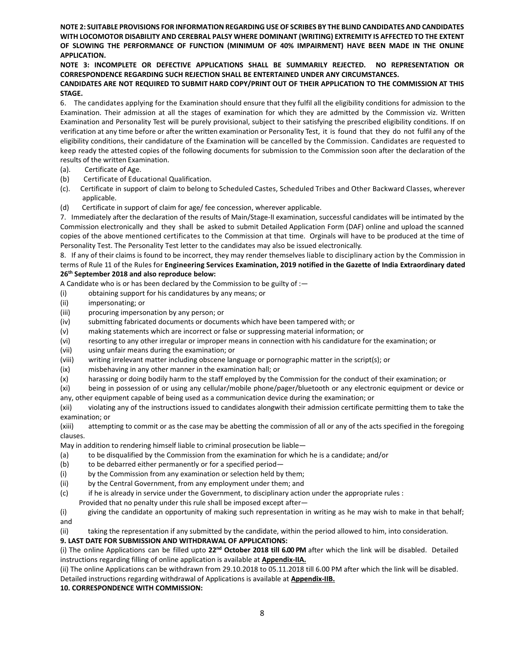**NOTE 2: SUITABLE PROVISIONS FOR INFORMATION REGARDING USE OF SCRIBES BY THE BLIND CANDIDATES AND CANDIDATES WITH LOCOMOTOR DISABILITY AND CEREBRAL PALSY WHERE DOMINANT (WRITING) EXTREMITY IS AFFECTED TO THE EXTENT OF SLOWING THE PERFORMANCE OF FUNCTION (MINIMUM OF 40% IMPAIRMENT) HAVE BEEN MADE IN THE ONLINE APPLICATION.** 

# **NOTE 3: INCOMPLETE OR DEFECTIVE APPLICATIONS SHALL BE SUMMARILY REJECTED. NO REPRESENTATION OR CORRESPONDENCE REGARDING SUCH REJECTION SHALL BE ENTERTAINED UNDER ANY CIRCUMSTANCES.**

## **CANDIDATES ARE NOT REQUIRED TO SUBMIT HARD COPY/PRINT OUT OF THEIR APPLICATION TO THE COMMISSION AT THIS STAGE.**

6. The candidates applying for the Examination should ensure that they fulfil all the eligibility conditions for admission to the Examination. Their admission at all the stages of examination for which they are admitted by the Commission viz. Written Examination and Personality Test will be purely provisional, subject to their satisfying the prescribed eligibility conditions. If on verification at any time before or after the written examination or Personality Test, it is found that they do not fulfil any of the eligibility conditions, their candidature of the Examination will be cancelled by the Commission. Candidates are requested to keep ready the attested copies of the following documents for submission to the Commission soon after the declaration of the results of the written Examination.

- (a). Certificate of Age.
- (b) Certificate of Educational Qualification.
- (c). Certificate in support of claim to belong to Scheduled Castes, Scheduled Tribes and Other Backward Classes, wherever applicable.
- (d) Certificate in support of claim for age/ fee concession, wherever applicable.

7. Immediately after the declaration of the results of Main/Stage-II examination, successful candidates will be intimated by the Commission electronically and they shall be asked to submit Detailed Application Form (DAF) online and upload the scanned copies of the above mentioned certificates to the Commission at that time. Orginals will have to be produced at the time of Personality Test. The Personality Test letter to the candidates may also be issued electronically.

8. If any of their claims is found to be incorrect, they may render themselves liable to disciplinary action by the Commission in terms of Rule 11 of the Rules for **Engineering Services Examination, 2019 notified in the Gazette of India Extraordinary dated 26th September 2018 and also reproduce below:** 

A Candidate who is or has been declared by the Commission to be guilty of :—

- (i) obtaining support for his candidatures by any means; or
- (ii) impersonating; or
- (iii) procuring impersonation by any person; or
- (iv) submitting fabricated documents or documents which have been tampered with; or
- (v) making statements which are incorrect or false or suppressing material information; or
- (vi) resorting to any other irregular or improper means in connection with his candidature for the examination; or
- (vii) using unfair means during the examination; or
- (viii) writing irrelevant matter including obscene language or pornographic matter in the script(s); or
- (ix) misbehaving in any other manner in the examination hall; or
- (x) harassing or doing bodily harm to the staff employed by the Commission for the conduct of their examination; or
- (xi) being in possession of or using any cellular/mobile phone/pager/bluetooth or any electronic equipment or device or any, other equipment capable of being used as a communication device during the examination; or

(xii) violating any of the instructions issued to candidates alongwith their admission certificate permitting them to take the examination; or

(xiii) attempting to commit or as the case may be abetting the commission of all or any of the acts specified in the foregoing clauses.

May in addition to rendering himself liable to criminal prosecution be liable—

- (a) to be disqualified by the Commission from the examination for which he is a candidate; and/or
- (b) to be debarred either permanently or for a specified period—
- (i) by the Commission from any examination or selection held by them;
- (ii) by the Central Government, from any employment under them; and
- (c) if he is already in service under the Government, to disciplinary action under the appropriate rules :
- Provided that no penalty under this rule shall be imposed except after—

(i) giving the candidate an opportunity of making such representation in writing as he may wish to make in that behalf; and

(ii) taking the representation if any submitted by the candidate, within the period allowed to him, into consideration.

# **9. LAST DATE FOR SUBMISSION AND WITHDRAWAL OF APPLICATIONS:**

(i) The online Applications can be filled upto **22nd October 2018 till 6.00 PM** after which the link will be disabled. Detailed instructions regarding filling of online application is available at **Appendix‐IIA.** 

(ii) The online Applications can be withdrawn from 29.10.2018 to 05.11.2018 till 6.00 PM after which the link will be disabled. Detailed instructions regarding withdrawal of Applications is available at **Appendix‐IIB.**

**10. CORRESPONDENCE WITH COMMISSION:**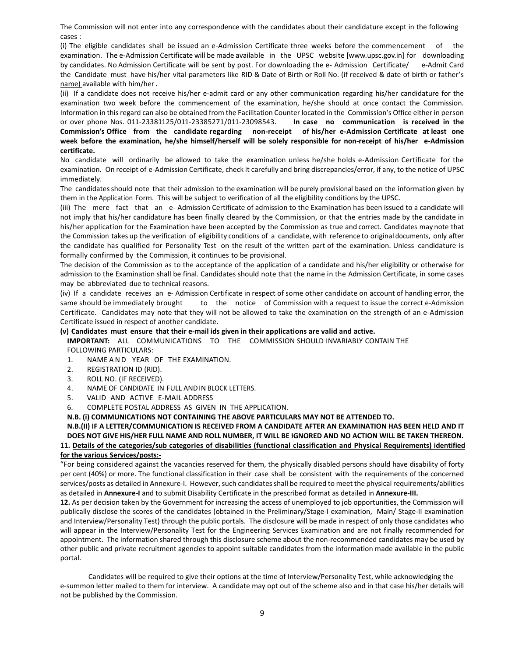The Commission will not enter into any correspondence with the candidates about their candidature except in the following cases :

(i) The eligible candidates shall be issued an e‐Admission Certificate three weeks before the commencement of the examination. The e-Admission Certificate will be made available in the UPSC website [www.upsc.gov.in] for downloading by candidates. No Admission Certificate will be sent by post. For downloading the e‐ Admission Certificate/ e‐Admit Card the Candidate must have his/her vital parameters like RID & Date of Birth or Roll No. (if received & date of birth or father's name) available with him/her .

(ii) If a candidate does not receive his/her e‐admit card or any other communication regarding his/her candidature for the examination two week before the commencement of the examination, he/she should at once contact the Commission. Information in this regard can also be obtained from the Facilitation Counter located in the Commission's Office either in person or over phone Nos. 011‐23381125/011‐23385271/011‐23098543. **In case no communication is received in the**  Commission's Office from the candidate regarding non-receipt of his/her e-Admission Certificate at least one **week before the examination, he/she himself/herself will be solely responsible for non‐receipt of his/her e‐Admission certificate.** 

No candidate will ordinarily be allowed to take the examination unless he/she holds e‐Admission Certificate for the examination. On receipt of e‐Admission Certificate, check it carefully and bring discrepancies/error, if any, to the notice of UPSC immediately.

The candidates should note that their admission to the examination will be purely provisional based on the information given by them in the Application Form. This will be subject to verification of all the eligibility conditions by the UPSC.

(iii) The mere fact that an e-Admission Certificate of admission to the Examination has been issued to a candidate will not imply that his/her candidature has been finally cleared by the Commission, or that the entries made by the candidate in his/her application for the Examination have been accepted by the Commission as true and correct. Candidates may note that the Commission takes up the verification of eligibility conditions of a candidate, with reference to original documents, only after the candidate has qualified for Personality Test on the result of the written part of the examination. Unless candidature is formally confirmed by the Commission, it continues to be provisional.

The decision of the Commission as to the acceptance of the application of a candidate and his/her eligibility or otherwise for admission to the Examination shall be final. Candidates should note that the name in the Admission Certificate, in some cases may be abbreviated due to technical reasons.

(iv) If a candidate receives an e‐ Admission Certificate in respect of some other candidate on account of handling error, the same should be immediately brought but but the notice of Commission with a request to issue the correct e-Admission Certificate. Candidates may note that they will not be allowed to take the examination on the strength of an e-Admission Certificate issued in respect of another candidate.

#### **(v) Candidates must ensure that their e‐mail ids given in their applications are valid and active.**

**IMPORTANT:** ALL COMMUNICATIONS TO THE COMMISSION SHOULD INVARIABLY CONTAIN THE FOLLOWING PARTICULARS:

- 1. NAME AND YEAR OF THE EXAMINATION.
- 2. REGISTRATION ID (RID).
- 3. ROLL NO. (IF RECEIVED).
- 4. NAME OF CANDIDATE IN FULL AND IN BLOCK LETTERS.
- 5. VALID AND ACTIVE E-MAIL ADDRESS
- 6. COMPLETE POSTAL ADDRESS AS GIVEN IN THE APPLICATION.

#### **N.B. (i) COMMUNICATIONS NOT CONTAINING THE ABOVE PARTICULARS MAY NOT BE ATTENDED TO.**

# **N.B.(II) IF A LETTER/COMMUNICATION IS RECEIVED FROM A CANDIDATE AFTER AN EXAMINATION HAS BEEN HELD AND IT DOES NOT GIVE HIS/HER FULL NAME AND ROLL NUMBER, IT WILL BE IGNORED AND NO ACTION WILL BE TAKEN THEREON. 11. Details of the categories/sub categories of disabilities (functional classification and Physical Requirements) identified for the various Services/posts:‐**

"For being considered against the vacancies reserved for them, the physically disabled persons should have disability of forty per cent (40%) or more. The functional classification in their case shall be consistent with the requirements of the concerned services/posts as detailed in Annexure-I. However, such candidates shall be required to meet the physical requirements/abilities as detailed in **Annexure‐I** and to submit Disability Certificate in the prescribed format as detailed in **Annexure‐III.** 

**12.** As per decision taken by the Government for increasing the access of unemployed to job opportunities, the Commission will publically disclose the scores of the candidates (obtained in the Preliminary/Stage-I examination, Main/ Stage-II examination and Interview/Personality Test) through the public portals. The disclosure will be made in respect of only those candidates who will appear in the Interview/Personality Test for the Engineering Services Examination and are not finally recommended for appointment. The information shared through this disclosure scheme about the non-recommended candidates may be used by other public and private recruitment agencies to appoint suitable candidates from the information made available in the public portal.

Candidates will be required to give their options at the time of Interview/Personality Test, while acknowledging the e‐summon letter mailed to them for interview. A candidate may opt out of the scheme also and in that case his/her details will not be published by the Commission.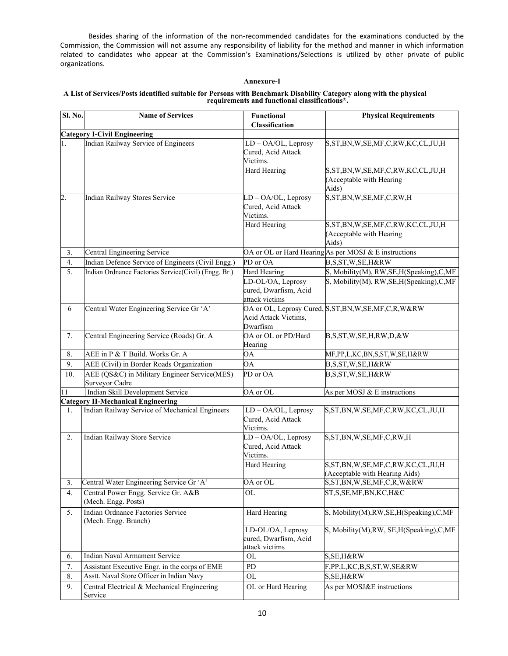Besides sharing of the information of the non‐recommended candidates for the examinations conducted by the Commission, the Commission will not assume any responsibility of liability for the method and manner in which information related to candidates who appear at the Commission's Examinations/Selections is utilized by other private of public organizations.

## **Annexure-I**

#### **A List of Services/Posts identified suitable for Persons with Benchmark Disability Category along with the physical requirements and functional classifications\*.**

| Sl. No.          | <b>Name of Services</b>                                        | <b>Functional</b>                                            | <b>Physical Requirements</b>                                                    |
|------------------|----------------------------------------------------------------|--------------------------------------------------------------|---------------------------------------------------------------------------------|
|                  |                                                                | Classification                                               |                                                                                 |
|                  | <b>Category I-Civil Engineering</b>                            |                                                              |                                                                                 |
| 1.               | Indian Railway Service of Engineers                            | LD-OA/OL, Leprosy<br>Cured, Acid Attack<br>Victims.          | S, ST, BN, W, SE, MF, C, RW, KC, CL, JU, H                                      |
|                  |                                                                | Hard Hearing                                                 | S, ST, BN, W, SE, MF, C, RW, KC, CL, JU, H<br>(Acceptable with Hearing<br>Aids) |
| $\overline{2}$ . | Indian Railway Stores Service                                  | LD - OA/OL, Leprosy<br>Cured, Acid Attack<br>Victims.        | S, ST, BN, W, SE, MF, C, RW, H                                                  |
|                  |                                                                | Hard Hearing                                                 | S, ST, BN, W, SE, MF, C, RW, KC, CL, JU, H<br>(Acceptable with Hearing<br>Aids) |
| 3.               | Central Engineering Service                                    |                                                              | OA or OL or Hard Hearing As per MOSJ & E instructions                           |
| 4.               | Indian Defence Service of Engineers (Civil Engg.)              | PD or OA                                                     | B,S,ST,W,SE,H&RW                                                                |
| 5.               | Indian Ordnance Factories Service(Civil) (Engg. Br.)           | <b>Hard Hearing</b>                                          | S, Mobility(M), RW, SE, H(Speaking), C, MF                                      |
|                  |                                                                | LD-OL/OA, Leprosy<br>cured, Dwarfism, Acid<br>attack victims | S, Mobility(M), RW, SE, H(Speaking), C, MF                                      |
| 6                | Central Water Engineering Service Gr 'A'                       | Acid Attack Victims,<br>Dwarfism                             | OA or OL, Leprosy Cured, S,ST, BN, W, SE, MF, C, R, W&RW                        |
| 7.               | Central Engineering Service (Roads) Gr. A                      | OA or OL or PD/Hard<br>Hearing                               | B, S, ST, W, SE, H, RW, D, & W                                                  |
| 8.               | AEE in P & T Build. Works Gr. A                                | ΟA                                                           | MF,PP,L,KC,BN,S,ST,W,SE,H&RW                                                    |
| 9.               | AEE (Civil) in Border Roads Organization                       | ΟA                                                           | B,S,ST,W,SE,H&RW                                                                |
| 10.              | AEE (QS&C) in Military Engineer Service(MES)<br>Surveyor Cadre | PD or OA                                                     | B,S,ST,W,SE,H&RW                                                                |
| 11               | Indian Skill Development Service                               | OA or OL                                                     | As per MOSJ & E instructions                                                    |
|                  | <b>Category II-Mechanical Engineering</b>                      |                                                              |                                                                                 |
| 1.               | Indian Railway Service of Mechanical Engineers                 | LD - OA/OL, Leprosy<br>Cured, Acid Attack<br>Victims.        | S,ST,BN,W,SE,MF,C,RW,KC,CL,JU,H                                                 |
| 2.               | Indian Railway Store Service                                   | LD - OA/OL, Leprosy<br>Cured, Acid Attack<br>Victims.        | S,ST,BN,W,SE,MF,C,RW,H                                                          |
|                  |                                                                | Hard Hearing                                                 | S, ST, BN, W, SE, MF, C, RW, KC, CL, JU, H<br>(Acceptable with Hearing Aids)    |
| 3.               | Central Water Engineering Service Gr 'A'                       | OA or OL                                                     | S, ST, BN, W, SE, MF, C, R, W&RW                                                |
| 4.               | Central Power Engg. Service Gr. A&B<br>(Mech. Engg. Posts)     | OL                                                           | ST,S,SE,MF,BN,KC,H&C                                                            |
| 5.               | Indian Ordnance Factories Service<br>(Mech. Engg. Branch)      | Hard Hearing                                                 | S, Mobility(M),RW,SE,H(Speaking),C,MF                                           |
|                  |                                                                | LD-OL/OA, Leprosy<br>cured, Dwarfism, Acid<br>attack victims | S, Mobility(M), RW, SE, H(Speaking), C, MF                                      |
| 6.               | Indian Naval Armament Service                                  | <b>OL</b>                                                    | S, SE, H&RW                                                                     |
| 7.               | Assistant Executive Engr. in the corps of EME                  | PD                                                           | F,PP,L,KC,B,S,ST,W,SE&RW                                                        |
| 8.               | Asstt. Naval Store Officer in Indian Navy                      | OL                                                           | S, SE, H&RW                                                                     |
| 9.               | Central Electrical & Mechanical Engineering<br>Service         | OL or Hard Hearing                                           | As per MOSJ&E instructions                                                      |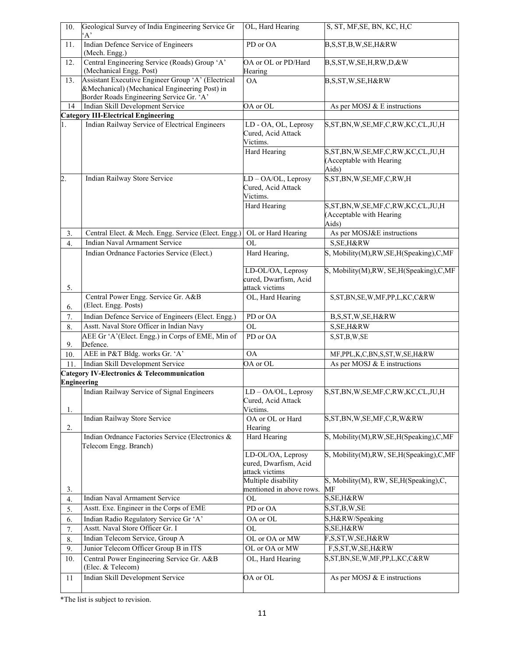| 10.                | Geological Survey of India Engineering Service Gr<br>A'                                             | OL, Hard Hearing                                             | S, ST, MF, SE, BN, KC, H, C                                                     |
|--------------------|-----------------------------------------------------------------------------------------------------|--------------------------------------------------------------|---------------------------------------------------------------------------------|
| 11.                | Indian Defence Service of Engineers<br>(Mech. Engg.)                                                | PD or OA                                                     | B,S,ST,B,W,SE,H&RW                                                              |
| 12.                | Central Engineering Service (Roads) Group 'A'<br>(Mechanical Engg. Post)                            | OA or OL or PD/Hard<br>Hearing                               | B,S,ST,W,SE,H,RW,D,&W                                                           |
| 13.                | Assistant Executive Engineer Group 'A' (Electrical<br>&Mechanical) (Mechanical Engineering Post) in | <b>OA</b>                                                    | B,S,ST,W,SE,H&RW                                                                |
| 14                 | Border Roads Engineering Service Gr. 'A'<br>Indian Skill Development Service                        | OA or OL                                                     | As per MOSJ & E instructions                                                    |
|                    | <b>Category III-Electrical Engineering</b>                                                          |                                                              |                                                                                 |
| 1.                 | Indian Railway Service of Electrical Engineers                                                      | LD - OA, OL, Leprosy<br>Cured, Acid Attack<br>Victims.       | S,ST,BN,W,SE,MF,C,RW,KC,CL,JU,H                                                 |
|                    |                                                                                                     | Hard Hearing                                                 | S, ST, BN, W, SE, MF, C, RW, KC, CL, JU, H<br>(Acceptable with Hearing<br>Aids) |
| $\overline{2}$     | Indian Railway Store Service                                                                        | LD-OA/OL, Leprosy<br>Cured, Acid Attack<br>Victims.          | S, ST, BN, W, SE, MF, C, RW, H                                                  |
|                    |                                                                                                     | Hard Hearing                                                 | S, ST, BN, W, SE, MF, C, RW, KC, CL, JU, H<br>(Acceptable with Hearing<br>Aids) |
| 3.                 | Central Elect. & Mech. Engg. Service (Elect. Engg.)                                                 | OL or Hard Hearing                                           | As per MOSJ&E instructions                                                      |
| $\overline{4}$ .   | Indian Naval Armament Service                                                                       | <b>OL</b>                                                    | S, SE, H&RW                                                                     |
|                    | Indian Ordnance Factories Service (Elect.)                                                          | Hard Hearing,                                                | S, Mobility(M), RW, SE, H(Speaking), C, MF                                      |
| 5.                 |                                                                                                     | LD-OL/OA, Leprosy<br>cured, Dwarfism, Acid<br>attack victims | S, Mobility(M), RW, SE, H(Speaking), C, MF                                      |
| 6.                 | Central Power Engg. Service Gr. A&B<br>(Elect. Engg. Posts)                                         | OL, Hard Hearing                                             | S, ST, BN, SE, W, MF, PP, L, KC, C&RW                                           |
| 7.                 | Indian Defence Service of Engineers (Elect. Engg.)                                                  | PD or OA                                                     | B,S,ST,W,SE,H&RW                                                                |
| 8.                 | Asstt. Naval Store Officer in Indian Navy                                                           | <b>OL</b>                                                    | S, SE, H&RW                                                                     |
| 9.                 | AEE Gr 'A'(Elect. Engg.) in Corps of EME, Min of<br>Defence.                                        | PD or OA                                                     | S, ST, B, W, SE                                                                 |
| 10.                | AEE in P&T Bldg. works Gr. 'A'                                                                      | ОA                                                           | MF, PPL, K, C, BN, S, ST, W, SE, H&RW                                           |
| 11.                | Indian Skill Development Service                                                                    | OA or OL                                                     | As per MOSJ & E instructions                                                    |
| <b>Engineering</b> | <b>Category IV-Electronics &amp; Telecommunication</b>                                              |                                                              |                                                                                 |
| 1.                 | Indian Railway Service of Signal Engineers                                                          | LD - OA/OL, Leprosy<br>Cured, Acid Attack<br>Victims.        | S, ST, BN, W, SE, MF, C, RW, KC, CL, JU, H                                      |
| 2.                 | Indian Railway Store Service                                                                        | OA or OL or Hard<br>Hearing                                  | S, ST, BN, W, SE, MF, C, R, W&RW                                                |
|                    | Indian Ordnance Factories Service (Electronics &<br>Telecom Engg. Branch)                           | Hard Hearing                                                 | S, Mobility(M), RW, SE, H(Speaking), C, MF                                      |
|                    |                                                                                                     | LD-OL/OA, Leprosy<br>cured, Dwarfism, Acid<br>attack victims | S, Mobility(M), RW, SE, H(Speaking), C, MF                                      |
| 3.                 |                                                                                                     | Multiple disability<br>mentioned in above rows.              | S, Mobility(M), RW, SE, H(Speaking), C,<br>MF                                   |
| 4.                 | Indian Naval Armament Service                                                                       | OL                                                           | S, SE, H & R                                                                    |
| 5.                 | Asstt. Exe. Engineer in the Corps of EME                                                            | PD or OA                                                     | S, ST, B, W, SE                                                                 |
| 6.                 | Indian Radio Regulatory Service Gr 'A'                                                              | OA or OL                                                     | S,H&RW/Speaking                                                                 |
| 7.                 | Asstt. Naval Store Officer Gr. I                                                                    | OL                                                           | $S, SE, H &$ <sub>R</sub> W                                                     |
| 8.                 | Indian Telecom Service, Group A                                                                     | OL or OA or MW                                               | F,S,ST,W,SE,H&RW                                                                |
| 9.                 | Junior Telecom Officer Group B in ITS                                                               | OL or OA or MW                                               | F,S,ST,W,SE,H&RW                                                                |
| 10.                | Central Power Engineering Service Gr. A&B<br>(Elec. & Telecom)                                      | OL, Hard Hearing                                             | S,ST,BN,SE,W,MF,PP,L,KC,C&RW                                                    |
| 11                 | Indian Skill Development Service                                                                    | OA or OL                                                     | As per MOSJ & E instructions                                                    |

\*The list is subject to revision.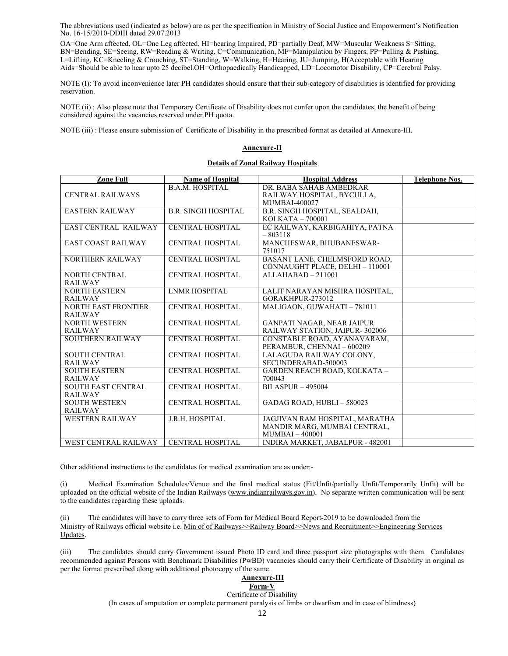The abbreviations used (indicated as below) are as per the specification in Ministry of Social Justice and Empowerment's Notification No. 16-15/2010-DDIII dated 29.07.2013

OA=One Arm affected, OL=One Leg affected, HI=hearing Impaired, PD=partially Deaf, MW=Muscular Weakness S=Sitting, BN=Bending, SE=Seeing, RW=Reading & Writing, C=Communication, MF=Manipulation by Fingers, PP=Pulling & Pushing, L=Lifting, KC=Kneeling & Crouching, ST=Standing, W=Walking, H=Hearing, JU=Jumping, H(Acceptable with Hearing Aids=Should be able to hear upto 25 decibel.OH=Orthopaedically Handicapped, LD=Locomotor Disability, CP=Cerebral Palsy.

NOTE (I): To avoid inconvenience later PH candidates should ensure that their sub-category of disabilities is identified for providing reservation.

NOTE (ii) : Also please note that Temporary Certificate of Disability does not confer upon the candidates, the benefit of being considered against the vacancies reserved under PH quota.

NOTE (iii) : Please ensure submission of Certificate of Disability in the prescribed format as detailed at Annexure-III.

#### **Annexure-II**

#### **Details of Zonal Railway Hospitals**

| <b>Zone Full</b>            | <b>Name of Hospital</b>    | <b>Hospital Address</b>                 | <b>Telephone Nos.</b> |
|-----------------------------|----------------------------|-----------------------------------------|-----------------------|
|                             | <b>B.A.M. HOSPITAL</b>     | DR. BABA SAHAB AMBEDKAR                 |                       |
| <b>CENTRAL RAILWAYS</b>     |                            | RAILWAY HOSPITAL, BYCULLA,              |                       |
|                             |                            | <b>MUMBAI-400027</b>                    |                       |
| <b>EASTERN RAILWAY</b>      | <b>B.R. SINGH HOSPITAL</b> | B.R. SINGH HOSPITAL, SEALDAH,           |                       |
|                             |                            | KOLKATA - 700001                        |                       |
| <b>EAST CENTRAL RAILWAY</b> | <b>CENTRAL HOSPITAL</b>    | EC RAILWAY, KARBIGAHIYA, PATNA          |                       |
|                             |                            | $-803118$                               |                       |
| <b>EAST COAST RAILWAY</b>   | <b>CENTRAL HOSPITAL</b>    | MANCHESWAR, BHUBANESWAR-                |                       |
|                             |                            | 751017                                  |                       |
| <b>NORTHERN RAILWAY</b>     | CENTRAL HOSPITAL           | BASANT LANE, CHELMSFORD ROAD,           |                       |
|                             |                            | CONNAUGHT PLACE, DELHI - 110001         |                       |
| <b>NORTH CENTRAL</b>        | <b>CENTRAL HOSPITAL</b>    | $ALLAHABAD - 211001$                    |                       |
| <b>RAILWAY</b>              |                            |                                         |                       |
| <b>NORTH EASTERN</b>        | <b>LNMR HOSPITAL</b>       | LALIT NARAYAN MISHRA HOSPITAL,          |                       |
| <b>RAILWAY</b>              |                            | GORAKHPUR-273012                        |                       |
| <b>NORTH EAST FRONTIER</b>  | <b>CENTRAL HOSPITAL</b>    | MALIGAON, GUWAHATI - 781011             |                       |
| <b>RAILWAY</b>              |                            |                                         |                       |
| <b>NORTH WESTERN</b>        | <b>CENTRAL HOSPITAL</b>    | <b>GANPATI NAGAR, NEAR JAIPUR</b>       |                       |
| <b>RAILWAY</b>              |                            | RAILWAY STATION, JAIPUR-302006          |                       |
| SOUTHERN RAILWAY            | <b>CENTRAL HOSPITAL</b>    | CONSTABLE ROAD, AYANAVARAM,             |                       |
|                             |                            | PERAMBUR, CHENNAI - 600209              |                       |
| <b>SOUTH CENTRAL</b>        | <b>CENTRAL HOSPITAL</b>    | LALAGUDA RAILWAY COLONY,                |                       |
| <b>RAILWAY</b>              |                            | SECUNDERABAD-500003                     |                       |
| <b>SOUTH EASTERN</b>        | <b>CENTRAL HOSPITAL</b>    | <b>GARDEN REACH ROAD, KOLKATA -</b>     |                       |
| <b>RAILWAY</b>              |                            | 700043                                  |                       |
| SOUTH EAST CENTRAL          | <b>CENTRAL HOSPITAL</b>    | $BILASPUR - 495004$                     |                       |
| <b>RAILWAY</b>              |                            |                                         |                       |
| <b>SOUTH WESTERN</b>        | <b>CENTRAL HOSPITAL</b>    | GADAG ROAD, HUBLI - 580023              |                       |
| <b>RAILWAY</b>              |                            |                                         |                       |
| <b>WESTERN RAILWAY</b>      | J.R.H. HOSPITAL            | JAGJIVAN RAM HOSPITAL, MARATHA          |                       |
|                             |                            | MANDIR MARG, MUMBAI CENTRAL,            |                       |
|                             |                            | $MUMBAI - 400001$                       |                       |
| WEST CENTRAL RAILWAY        | <b>CENTRAL HOSPITAL</b>    | <b>INDIRA MARKET, JABALPUR - 482001</b> |                       |

Other additional instructions to the candidates for medical examination are as under:-

(i) Medical Examination Schedules/Venue and the final medical status (Fit/Unfit/partially Unfit/Temporarily Unfit) will be uploaded on the official website of the Indian Railways (www.indianrailways.gov.in). No separate written communication will be sent to the candidates regarding these uploads.

(ii) The candidates will have to carry three sets of Form for Medical Board Report-2019 to be downloaded from the Ministry of Railways official website i.e. Min of of Railways>>Railway Board>>News and Recruitment>>Engineering Services Updates.

(iii) The candidates should carry Government issued Photo ID card and three passport size photographs with them. Candidates recommended against Persons with Benchmark Disabilities (PwBD) vacancies should carry their Certificate of Disability in original as per the format prescribed along with additional photocopy of the same.

#### **Annexure-III Form-V**

# Certificate of Disability

(In cases of amputation or complete permanent paralysis of limbs or dwarfism and in case of blindness)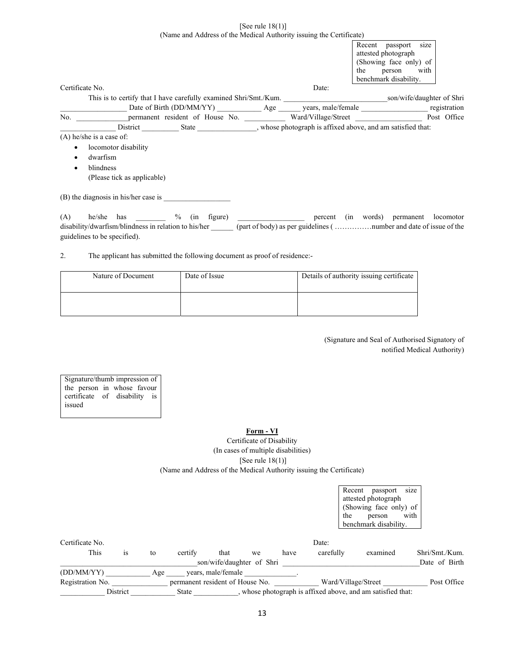## [See rule 18(1)] (Name and Address of the Medical Authority issuing the Certificate)

|                                      | size<br>Recent passport                                                                                                                                                                                                        |
|--------------------------------------|--------------------------------------------------------------------------------------------------------------------------------------------------------------------------------------------------------------------------------|
|                                      | attested photograph                                                                                                                                                                                                            |
|                                      | (Showing face only) of<br>with                                                                                                                                                                                                 |
|                                      | person<br>the                                                                                                                                                                                                                  |
|                                      | benchmark disability.                                                                                                                                                                                                          |
| Certificate No.                      | Date:                                                                                                                                                                                                                          |
|                                      |                                                                                                                                                                                                                                |
|                                      |                                                                                                                                                                                                                                |
|                                      |                                                                                                                                                                                                                                |
|                                      | District State State State State State State State State State State State State State State State State State State State State State State State State State State State State State State State State State State State Sta |
| $(A)$ he/she is a case of:           |                                                                                                                                                                                                                                |
| locomotor disability<br>$\bullet$    |                                                                                                                                                                                                                                |
| dwarfism<br>٠                        |                                                                                                                                                                                                                                |
| blindness                            |                                                                                                                                                                                                                                |
| (Please tick as applicable)          |                                                                                                                                                                                                                                |
| (B) the diagnosis in his/her case is |                                                                                                                                                                                                                                |
| (A)                                  | he/she has ________ % (in figure) _______________ percent (in words) permanent locomotor                                                                                                                                       |
|                                      | disability/dwarfism/blindness in relation to his/her (part of body) as per guidelines (number and date of issue of the                                                                                                         |
| guidelines to be specified).         |                                                                                                                                                                                                                                |

2. The applicant has submitted the following document as proof of residence:-

| Nature of Document | Date of Issue | Details of authority issuing certificate |
|--------------------|---------------|------------------------------------------|
|                    |               |                                          |

(Signature and Seal of Authorised Signatory of notified Medical Authority)

Signature/thumb impression of the person in whose favour certificate of disability is issued

# **Form - VI**

Certificate of Disability (In cases of multiple disabilities) [See rule 18(1)] (Name and Address of the Medical Authority issuing the Certificate)

|                  |          |     |                                 |                           |    |      |           |                     | attested photograph                                         |                |
|------------------|----------|-----|---------------------------------|---------------------------|----|------|-----------|---------------------|-------------------------------------------------------------|----------------|
|                  |          |     |                                 |                           |    |      |           | the                 | (Showing face only) of                                      | with           |
|                  |          |     |                                 |                           |    |      |           |                     | person<br>benchmark disability.                             |                |
| Certificate No.  |          |     |                                 |                           |    |      | Date:     |                     |                                                             |                |
| This             | is       | to  | certify                         | that                      | we | have | carefully |                     | examined                                                    | Shri/Smt./Kum. |
|                  |          |     |                                 | son/wife/daughter of Shri |    |      |           |                     |                                                             | Date of Birth  |
| (DD/MM/YY)       |          | Age |                                 | years, male/female        |    |      |           |                     |                                                             |                |
| Registration No. |          |     | permanent resident of House No. |                           |    |      |           | Ward/Village/Street |                                                             | Post Office    |
|                  | District |     | State                           |                           |    |      |           |                     | , whose photograph is affixed above, and am satisfied that: |                |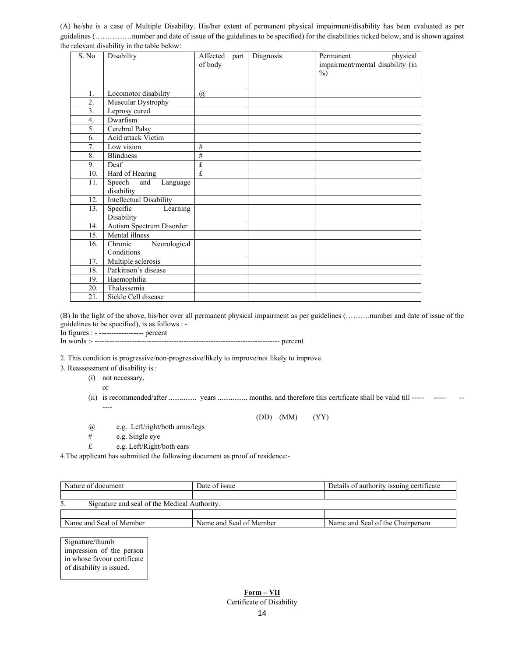(A) he/she is a case of Multiple Disability. His/her extent of permanent physical impairment/disability has been evaluated as per guidelines (……………number and date of issue of the guidelines to be specified) for the disabilities ticked below, and is shown against the relevant disability in the table below:

| S. No            | Disability                              | Affected<br>part<br>of body | Diagnosis | physical<br>Permanent<br>impairment/mental disability (in<br>$\%$ ) |
|------------------|-----------------------------------------|-----------------------------|-----------|---------------------------------------------------------------------|
| 1.               | Locomotor disability                    | $\mathcal{a}$               |           |                                                                     |
| 2.               | Muscular Dystrophy                      |                             |           |                                                                     |
| 3.               | Leprosy cured                           |                             |           |                                                                     |
| $\overline{4}$ . | Dwarfism                                |                             |           |                                                                     |
| 5.               | Cerebral Palsy                          |                             |           |                                                                     |
| 6.               | Acid attack Victim                      |                             |           |                                                                     |
| 7.               | Low vision                              | #                           |           |                                                                     |
| 8.               | <b>Blindness</b>                        | $\overline{\#}$             |           |                                                                     |
| 9.               | Deaf                                    | £                           |           |                                                                     |
| 10.              | Hard of Hearing                         | £                           |           |                                                                     |
| 11.              | Speech<br>and<br>Language<br>disability |                             |           |                                                                     |
| 12.              | <b>Intellectual Disability</b>          |                             |           |                                                                     |
| 13.              | Learning<br>Specific<br>Disability      |                             |           |                                                                     |
| 14.              | Autism Spectrum Disorder                |                             |           |                                                                     |
| 15.              | Mental illness                          |                             |           |                                                                     |
| 16.              | Neurological<br>Chronic<br>Conditions   |                             |           |                                                                     |
| 17.              | Multiple sclerosis                      |                             |           |                                                                     |
| 18.              | Parkinson's disease                     |                             |           |                                                                     |
| 19.              | Haemophilia                             |                             |           |                                                                     |
| 20.              | Thalassemia                             |                             |           |                                                                     |
| 21.              | Sickle Cell disease                     |                             |           |                                                                     |

(B) In the light of the above, his/her over all permanent physical impairment as per guidelines (……….number and date of issue of the guidelines to be specified), is as follows : -

In figures : - ------------------ percent

In words :- --------------------------------------------------------------------------- percent

2. This condition is progressive/non-progressive/likely to improve/not likely to improve.

3. Reassessment of disability is :

(i) not necessary,

or

(ii) is recommended/after ................. years ................ months, and therefore this certificate shall be valid till ----- ---------

(DD) (MM) (YY)

- @ e.g. Left/right/both arms/legs
- # e.g. Single eye
- £ e.g. Left/Right/both ears

4.The applicant has submitted the following document as proof of residence:-

| Nature of document                                 | Date of issue           | Details of authority issuing certificate |  |  |  |
|----------------------------------------------------|-------------------------|------------------------------------------|--|--|--|
|                                                    |                         |                                          |  |  |  |
| Signature and seal of the Medical Authority.<br>5. |                         |                                          |  |  |  |
|                                                    |                         |                                          |  |  |  |
| Name and Seal of Member                            | Name and Seal of Member | Name and Seal of the Chairperson         |  |  |  |

Signature/thumb impression of the person in whose favour certificate of disability is issued.

> **Form – VII**  Certificate of Disability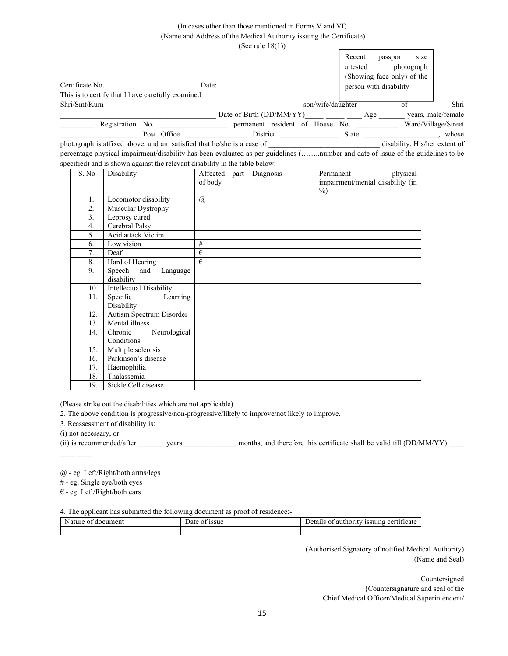# (In cases other than those mentioned in Forms V and VI) (Name and Address of the Medical Authority issuing the Certificate)

(See rule 18(1))

|                                                   |             |                          |                                 |                   | Recent       | passport                   | size       |                     |
|---------------------------------------------------|-------------|--------------------------|---------------------------------|-------------------|--------------|----------------------------|------------|---------------------|
|                                                   |             |                          |                                 |                   | attested     |                            | photograph |                     |
|                                                   |             |                          |                                 |                   |              | (Showing face only) of the |            |                     |
| Certificate No.                                   | Date:       |                          |                                 |                   |              | person with disability     |            |                     |
| This is to certify that I have carefully examined |             |                          |                                 |                   |              |                            |            |                     |
| Shri/Smt/Kum                                      |             |                          |                                 | son/wife/daughter |              |                            |            | Shri                |
|                                                   |             | Date of Birth (DD/MM/YY) |                                 |                   |              | Age                        |            | years, male/female  |
| Registration No.                                  |             |                          | permanent resident of House No. |                   |              |                            |            | Ward/Village/Street |
|                                                   | Post Office | District                 |                                 |                   | <b>State</b> |                            |            | whose               |

photograph is affixed above, and am satisfied that he/she is a case of  $\qquad \qquad$  disability. His/her extent of percentage physical impairment/disability has been evaluated as per guidelines (……..number and date of issue of the guidelines to be specified) and is shown against the relevant disability in the table below:-

| S. No | Disability                     | Affected             | part | Diagnosis | physical<br>Permanent            |
|-------|--------------------------------|----------------------|------|-----------|----------------------------------|
|       |                                | of body              |      |           | impairment/mental disability (in |
|       |                                |                      |      |           | $\%$ )                           |
| 1.    | Locomotor disability           | $^{\textregistered}$ |      |           |                                  |
| 2.    | Muscular Dystrophy             |                      |      |           |                                  |
| 3.    | Leprosy cured                  |                      |      |           |                                  |
| 4.    | Cerebral Palsy                 |                      |      |           |                                  |
| 5.    | Acid attack Victim             |                      |      |           |                                  |
| 6.    | Low vision                     | #                    |      |           |                                  |
| 7.    | Deaf                           | €                    |      |           |                                  |
| 8.    | Hard of Hearing                | €                    |      |           |                                  |
| 9.    | Speech<br>and<br>Language      |                      |      |           |                                  |
|       | disability                     |                      |      |           |                                  |
| 10.   | <b>Intellectual Disability</b> |                      |      |           |                                  |
| 11.   | Specific<br>Learning           |                      |      |           |                                  |
|       | Disability                     |                      |      |           |                                  |
| 12.   | Autism Spectrum Disorder       |                      |      |           |                                  |
| 13.   | Mental illness                 |                      |      |           |                                  |
| 14.   | Chronic<br>Neurological        |                      |      |           |                                  |
|       | Conditions                     |                      |      |           |                                  |
| 15.   | Multiple sclerosis             |                      |      |           |                                  |
| 16.   | Parkinson's disease            |                      |      |           |                                  |
| 17.   | Haemophilia                    |                      |      |           |                                  |
| 18.   | Thalassemia                    |                      |      |           |                                  |
| 19.   | Sickle Cell disease            |                      |      |           |                                  |

(Please strike out the disabilities which are not applicable)

2. The above condition is progressive/non-progressive/likely to improve/not likely to improve.

3. Reassessment of disability is:

(i) not necessary, or

(ii) is recommended/after years was months, and therefore this certificate shall be valid till (DD/MM/YY)

@ - eg. Left/Right/both arms/legs

# - eg. Single eye/both eyes

 $\in$  - eg. Left/Right/both ears

4. The applicant has submitted the following document as proof of residence:-

| $\sim$<br>ദ്വറ<br>`<br>umen | $\overline{\phantom{a}}$<br>issue<br>. . | - cer<br>aor<br>TH<br>$\cdot$<br>чсаг<br>752 L |
|-----------------------------|------------------------------------------|------------------------------------------------|
|                             |                                          |                                                |

(Authorised Signatory of notified Medical Authority) (Name and Seal)

> Countersigned {Countersignature and seal of the Chief Medical Officer/Medical Superintendent/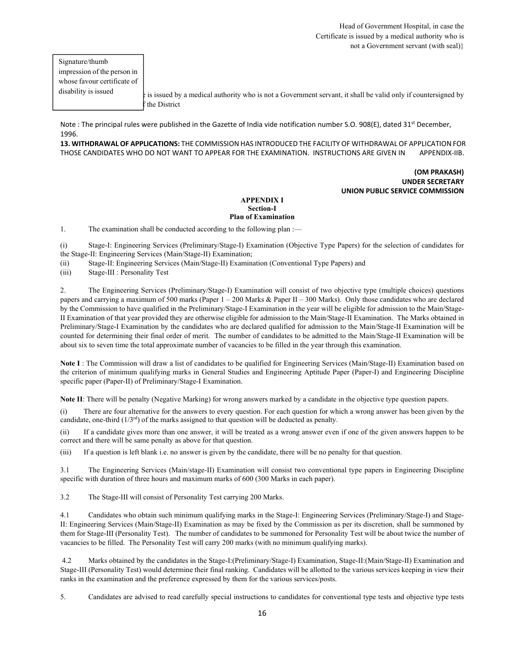Signature/thumb impression of the person in whose favour certificate of disability is issued

It is issued by a medical authority who is not a Government servant, it shall be valid only if countersigned by the District

Note : The principal rules were published in the Gazette of India vide notification number S.O. 908(E), dated 31<sup>st</sup> December, 1996.

**13. WITHDRAWAL OF APPLICATIONS:** THE COMMISSION HAS INTRODUCED THE FACILITY OF WITHDRAWAL OF APPLICATION FOR THOSE CANDIDATES WHO DO NOT WANT TO APPEAR FOR THE EXAMINATION. INSTRUCTIONS ARE GIVEN IN APPENDIX‐IIB.

## **(OM PRAKASH) UNDER SECRETARY UNION PUBLIC SERVICE COMMISSION**

## **APPENDIX I Section-I Plan of Examination**

1. The examination shall be conducted according to the following plan :—

(i) Stage-I: Engineering Services (Preliminary/Stage-I) Examination (Objective Type Papers) for the selection of candidates for the Stage-II: Engineering Services (Main/Stage-II) Examination;

(ii) Stage-II: Engineering Services (Main/Stage-II) Examination (Conventional Type Papers) and

(iii) Stage-III : Personality Test

2. The Engineering Services (Preliminary/Stage-I) Examination will consist of two objective type (multiple choices) questions papers and carrying a maximum of 500 marks (Paper 1 – 200 Marks & Paper II – 300 Marks). Only those candidates who are declared by the Commission to have qualified in the Preliminary/Stage-I Examination in the year will be eligible for admission to the Main/Stage-II Examination of that year provided they are otherwise eligible for admission to the Main/Stage-II Examination. The Marks obtained in Preliminary/Stage-I Examination by the candidates who are declared qualified for admission to the Main/Stage-II Examination will be counted for determining their final order of merit. The number of candidates to be admitted to the Main/Stage-II Examination will be about six to seven time the total approximate number of vacancies to be filled in the year through this examination.

**Note I** : The Commission will draw a list of candidates to be qualified for Engineering Services (Main/Stage-II) Examination based on the criterion of minimum qualifying marks in General Studies and Engineering Aptitude Paper (Paper-I) and Engineering Discipline specific paper (Paper-II) of Preliminary/Stage-I Examination.

**Note II**: There will be penalty (Negative Marking) for wrong answers marked by a candidate in the objective type question papers.

(i) There are four alternative for the answers to every question. For each question for which a wrong answer has been given by the candidate, one-third  $(1/3<sup>rd</sup>)$  of the marks assigned to that question will be deducted as penalty.

(ii) If a candidate gives more than one answer, it will be treated as a wrong answer even if one of the given answers happen to be correct and there will be same penalty as above for that question.

(iii) If a question is left blank i.e. no answer is given by the candidate, there will be no penalty for that question.

3.1 The Engineering Services (Main/stage-II) Examination will consist two conventional type papers in Engineering Discipline specific with duration of three hours and maximum marks of 600 (300 Marks in each paper).

3.2 The Stage-III will consist of Personality Test carrying 200 Marks.

4.1 Candidates who obtain such minimum qualifying marks in the Stage-I: Engineering Services (Preliminary/Stage-I) and Stage-II: Engineering Services (Main/Stage-II) Examination as may be fixed by the Commission as per its discretion, shall be summoned by them for Stage-III (Personality Test). The number of candidates to be summoned for Personality Test will be about twice the number of vacancies to be filled. The Personality Test will carry 200 marks (with no minimum qualifying marks).

 4.2 Marks obtained by the candidates in the Stage-I:(Preliminary/Stage-I) Examination, Stage-II:(Main/Stage-II) Examination and Stage-III (Personality Test) would determine their final ranking. Candidates will be allotted to the various services keeping in view their ranks in the examination and the preference expressed by them for the various services/posts.

5. Candidates are advised to read carefully special instructions to candidates for conventional type tests and objective type tests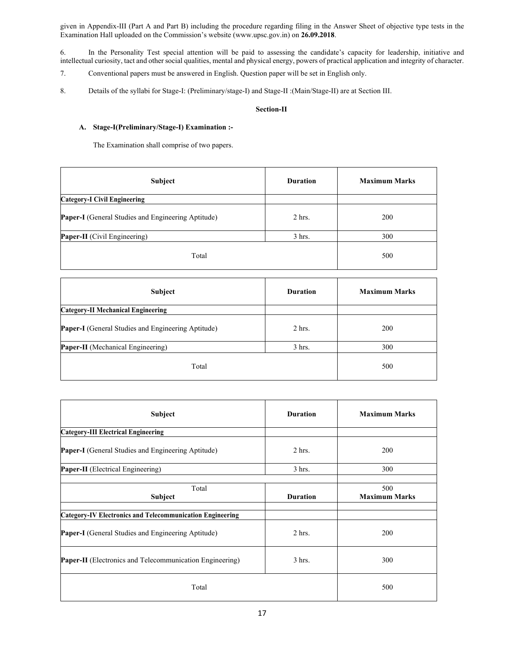given in Appendix-III (Part A and Part B) including the procedure regarding filing in the Answer Sheet of objective type tests in the Examination Hall uploaded on the Commission's website (www.upsc.gov.in) on **26.09.2018**.

6. In the Personality Test special attention will be paid to assessing the candidate's capacity for leadership, initiative and intellectual curiosity, tact and other social qualities, mental and physical energy, powers of practical application and integrity of character.

- 7. Conventional papers must be answered in English. Question paper will be set in English only.
- 8. Details of the syllabi for Stage-I: (Preliminary/stage-I) and Stage-II :(Main/Stage-II) are at Section III.

## **Section-II**

# **A. Stage-I(Preliminary/Stage-I) Examination :-**

The Examination shall comprise of two papers.

| Subject                                                   | <b>Duration</b> | <b>Maximum Marks</b> |
|-----------------------------------------------------------|-----------------|----------------------|
| <b>Category-I Civil Engineering</b>                       |                 |                      |
| <b>Paper-I</b> (General Studies and Engineering Aptitude) | $2$ hrs.        | 200                  |
| Paper-II (Civil Engineering)                              | $3$ hrs.        | 300                  |
| Total                                                     |                 | 500                  |

| Subject                                                   | <b>Duration</b> | <b>Maximum Marks</b> |
|-----------------------------------------------------------|-----------------|----------------------|
| <b>Category-II Mechanical Engineering</b>                 |                 |                      |
| <b>Paper-I</b> (General Studies and Engineering Aptitude) | $2$ hrs.        | 200                  |
| Paper-II (Mechanical Engineering)                         | $3$ hrs.        | 300                  |
| Total                                                     |                 | 500                  |

| Subject                                                          | <b>Duration</b> | <b>Maximum Marks</b>        |
|------------------------------------------------------------------|-----------------|-----------------------------|
| <b>Category-III Electrical Engineering</b>                       |                 |                             |
| Paper-I (General Studies and Engineering Aptitude)               | $2$ hrs.        | 200                         |
| <b>Paper-II</b> (Electrical Engineering)                         | $3$ hrs.        | 300                         |
| Total<br>Subject                                                 | <b>Duration</b> | 500<br><b>Maximum Marks</b> |
| <b>Category-IV Electronics and Telecommunication Engineering</b> |                 |                             |
| <b>Paper-I</b> (General Studies and Engineering Aptitude)        | 2 hrs.          | 200                         |
| <b>Paper-II</b> (Electronics and Telecommunication Engineering)  | 3 hrs.          | 300                         |
| Total                                                            | 500             |                             |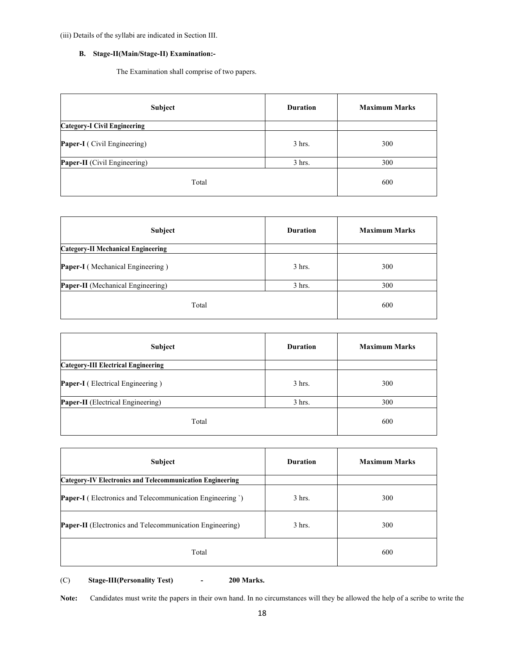(iii) Details of the syllabi are indicated in Section III.

# **B. Stage-II(Main/Stage-II) Examination:-**

The Examination shall comprise of two papers.

| Subject                             | <b>Duration</b> | <b>Maximum Marks</b> |
|-------------------------------------|-----------------|----------------------|
| <b>Category-I Civil Engineering</b> |                 |                      |
| Paper-I (Civil Engineering)         | 3 hrs.          | 300                  |
| <b>Paper-II</b> (Civil Engineering) | $3$ hrs.        | 300                  |
| Total                               |                 | 600                  |

| Subject                                   | <b>Duration</b> | <b>Maximum Marks</b> |
|-------------------------------------------|-----------------|----------------------|
| <b>Category-II Mechanical Engineering</b> |                 |                      |
| Paper-I (Mechanical Engineering)          | $3$ hrs.        | 300                  |
| Paper-II (Mechanical Engineering)         | $3$ hrs.        | 300                  |
| Total                                     |                 | 600                  |

| Subject                                    | <b>Duration</b> | <b>Maximum Marks</b> |
|--------------------------------------------|-----------------|----------------------|
| <b>Category-III Electrical Engineering</b> |                 |                      |
| Paper-I (Electrical Engineering)           | $3$ hrs.        | 300                  |
| Paper-II (Electrical Engineering)          | $3$ hrs.        | 300                  |
| Total                                      |                 | 600                  |

| <b>Subject</b>                                                   | <b>Duration</b> | <b>Maximum Marks</b> |
|------------------------------------------------------------------|-----------------|----------------------|
| <b>Category-IV Electronics and Telecommunication Engineering</b> |                 |                      |
| <b>Paper-I</b> (Electronics and Telecommunication Engineering ') | $3$ hrs.        | 300                  |
| <b>Paper-II</b> (Electronics and Telecommunication Engineering)  | $3$ hrs.        | 300                  |
| Total                                                            |                 | 600                  |

(C) **Stage-III(Personality Test) - 200 Marks.**

**Note:** Candidates must write the papers in their own hand. In no circumstances will they be allowed the help of a scribe to write the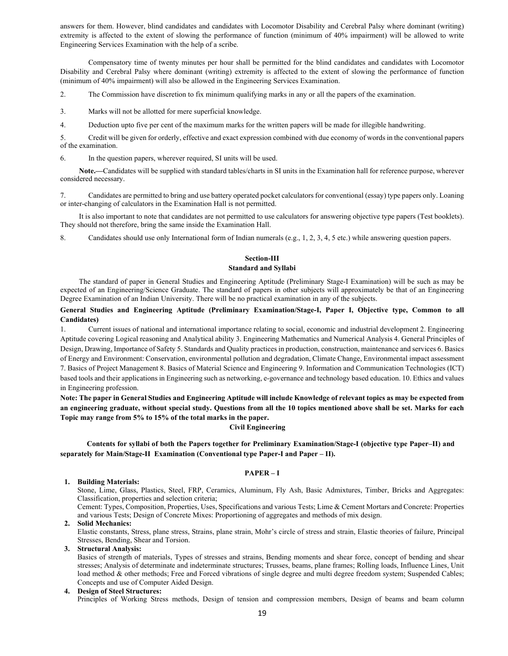answers for them. However, blind candidates and candidates with Locomotor Disability and Cerebral Palsy where dominant (writing) extremity is affected to the extent of slowing the performance of function (minimum of 40% impairment) will be allowed to write Engineering Services Examination with the help of a scribe.

Compensatory time of twenty minutes per hour shall be permitted for the blind candidates and candidates with Locomotor Disability and Cerebral Palsy where dominant (writing) extremity is affected to the extent of slowing the performance of function (minimum of 40% impairment) will also be allowed in the Engineering Services Examination.

2. The Commission have discretion to fix minimum qualifying marks in any or all the papers of the examination.

3. Marks will not be allotted for mere superficial knowledge.

4. Deduction upto five per cent of the maximum marks for the written papers will be made for illegible handwriting.

5. Credit will be given for orderly, effective and exact expression combined with due economy of words in the conventional papers of the examination.

6. In the question papers, wherever required, SI units will be used.

**Note.—**Candidates will be supplied with standard tables/charts in SI units in the Examination hall for reference purpose, wherever considered necessary.

7. Candidates are permitted to bring and use battery operated pocket calculators for conventional (essay) type papers only. Loaning or inter-changing of calculators in the Examination Hall is not permitted.

It is also important to note that candidates are not permitted to use calculators for answering objective type papers (Test booklets). They should not therefore, bring the same inside the Examination Hall.

8. Candidates should use only International form of Indian numerals (e.g., 1, 2, 3, 4, 5 etc.) while answering question papers.

# **Section-III Standard and Syllabi**

The standard of paper in General Studies and Engineering Aptitude (Preliminary Stage-I Examination) will be such as may be expected of an Engineering/Science Graduate. The standard of papers in other subjects will approximately be that of an Engineering Degree Examination of an Indian University. There will be no practical examination in any of the subjects.

#### **General Studies and Engineering Aptitude (Preliminary Examination/Stage-I, Paper I, Objective type, Common to all Candidates)**

1. Current issues of national and international importance relating to social, economic and industrial development 2. Engineering Aptitude covering Logical reasoning and Analytical ability 3. Engineering Mathematics and Numerical Analysis 4. General Principles of Design, Drawing, Importance of Safety 5. Standards and Quality practices in production, construction, maintenance and services 6. Basics of Energy and Environment: Conservation, environmental pollution and degradation, Climate Change, Environmental impact assessment 7. Basics of Project Management 8. Basics of Material Science and Engineering 9. Information and Communication Technologies (ICT) based tools and their applications in Engineering such as networking, e-governance and technology based education. 10. Ethics and values in Engineering profession.

**Note: The paper in General Studies and Engineering Aptitude will include Knowledge of relevant topics as may be expected from an engineering graduate, without special study. Questions from all the 10 topics mentioned above shall be set. Marks for each Topic may range from 5% to 15% of the total marks in the paper.**

# **Civil Engineering**

**Contents for syllabi of both the Papers together for Preliminary Examination/Stage-I (objective type Paper–II) and separately for Main/Stage-II Examination (Conventional type Paper-I and Paper – II).** 

#### **PAPER – I**

## **1. Building Materials:**

Stone, Lime, Glass, Plastics, Steel, FRP, Ceramics, Aluminum, Fly Ash, Basic Admixtures, Timber, Bricks and Aggregates: Classification, properties and selection criteria;

Cement: Types, Composition, Properties, Uses, Specifications and various Tests; Lime & Cement Mortars and Concrete: Properties and various Tests; Design of Concrete Mixes: Proportioning of aggregates and methods of mix design.

## **2. Solid Mechanics:**

Elastic constants, Stress, plane stress, Strains, plane strain, Mohr's circle of stress and strain, Elastic theories of failure, Principal Stresses, Bending, Shear and Torsion.

#### **3. Structural Analysis:**

Basics of strength of materials, Types of stresses and strains, Bending moments and shear force, concept of bending and shear stresses; Analysis of determinate and indeterminate structures; Trusses, beams, plane frames; Rolling loads, Influence Lines, Unit load method & other methods; Free and Forced vibrations of single degree and multi degree freedom system; Suspended Cables; Concepts and use of Computer Aided Design.

## **4. Design of Steel Structures:**

Principles of Working Stress methods, Design of tension and compression members, Design of beams and beam column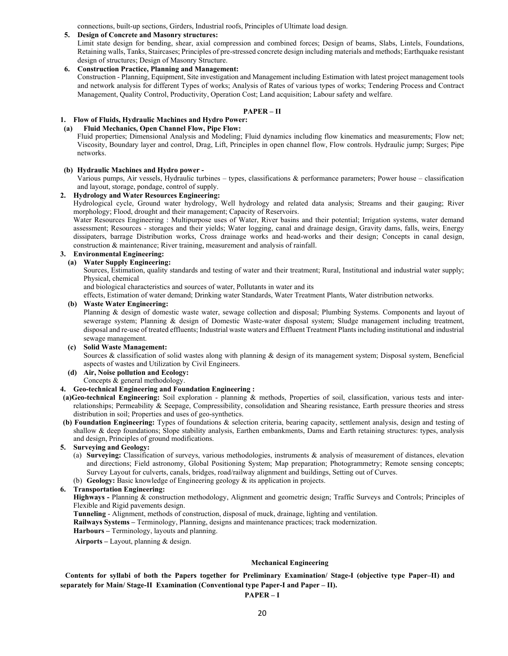connections, built-up sections, Girders, Industrial roofs, Principles of Ultimate load design.

#### **5. Design of Concrete and Masonry structures:**

Limit state design for bending, shear, axial compression and combined forces; Design of beams, Slabs, Lintels, Foundations, Retaining walls, Tanks, Staircases; Principles of pre-stressed concrete design including materials and methods; Earthquake resistant design of structures; Design of Masonry Structure.

## **6. Construction Practice, Planning and Management:**

Construction - Planning, Equipment, Site investigation and Management including Estimation with latest project management tools and network analysis for different Types of works; Analysis of Rates of various types of works; Tendering Process and Contract Management, Quality Control, Productivity, Operation Cost; Land acquisition; Labour safety and welfare.

## **PAPER – II**

## **1. Flow of Fluids, Hydraulic Machines and Hydro Power:**

#### **(a) Fluid Mechanics, Open Channel Flow, Pipe Flow:**

Fluid properties; Dimensional Analysis and Modeling; Fluid dynamics including flow kinematics and measurements; Flow net; Viscosity, Boundary layer and control, Drag, Lift, Principles in open channel flow, Flow controls. Hydraulic jump; Surges; Pipe networks.

#### **(b) Hydraulic Machines and Hydro power -**

Various pumps, Air vessels, Hydraulic turbines – types, classifications & performance parameters; Power house – classification and layout, storage, pondage, control of supply.

#### **2. Hydrology and Water Resources Engineering:**

Hydrological cycle, Ground water hydrology, Well hydrology and related data analysis; Streams and their gauging; River morphology; Flood, drought and their management; Capacity of Reservoirs.

Water Resources Engineering : Multipurpose uses of Water, River basins and their potential; Irrigation systems, water demand assessment; Resources - storages and their yields; Water logging, canal and drainage design, Gravity dams, falls, weirs, Energy dissipaters, barrage Distribution works, Cross drainage works and head-works and their design; Concepts in canal design, construction & maintenance; River training, measurement and analysis of rainfall.

## **3. Environmental Engineering:**

#### **(a) Water Supply Engineering:**

Sources, Estimation, quality standards and testing of water and their treatment; Rural, Institutional and industrial water supply; Physical, chemical

and biological characteristics and sources of water, Pollutants in water and its

effects, Estimation of water demand; Drinking water Standards, Water Treatment Plants, Water distribution networks.

#### **(b) Waste Water Engineering:**

Planning & design of domestic waste water, sewage collection and disposal; Plumbing Systems. Components and layout of sewerage system; Planning & design of Domestic Waste-water disposal system; Sludge management including treatment, disposal and re-use of treated effluents; Industrial waste waters and Effluent Treatment Plants including institutional and industrial sewage management.

#### **(c) Solid Waste Management:**

Sources & classification of solid wastes along with planning & design of its management system; Disposal system, Beneficial aspects of wastes and Utilization by Civil Engineers.

**(d) Air, Noise pollution and Ecology:**  Concepts & general methodology.

#### **4. Geo-technical Engineering and Foundation Engineering :**

- **(a)Geo-technical Engineering:** Soil exploration planning & methods, Properties of soil, classification, various tests and interrelationships; Permeability & Seepage, Compressibility, consolidation and Shearing resistance, Earth pressure theories and stress distribution in soil; Properties and uses of geo-synthetics.
- **(b) Foundation Engineering:** Types of foundations & selection criteria, bearing capacity, settlement analysis, design and testing of shallow & deep foundations; Slope stability analysis, Earthen embankments, Dams and Earth retaining structures: types, analysis and design, Principles of ground modifications.
- **5. Surveying and Geology:** 
	- (a) **Surveying:** Classification of surveys, various methodologies, instruments & analysis of measurement of distances, elevation and directions; Field astronomy, Global Positioning System; Map preparation; Photogrammetry; Remote sensing concepts; Survey Layout for culverts, canals, bridges, road/railway alignment and buildings, Setting out of Curves.
	- (b) **Geology:** Basic knowledge of Engineering geology & its application in projects.

#### **6. Transportation Engineering:**

**Highways -** Planning & construction methodology, Alignment and geometric design; Traffic Surveys and Controls; Principles of Flexible and Rigid pavements design.

**Tunneling** - Alignment, methods of construction, disposal of muck, drainage, lighting and ventilation.

**Railways Systems –** Terminology, Planning, designs and maintenance practices; track modernization.

**Harbours –** Terminology, layouts and planning.

 **Airports –** Layout, planning & design.

#### **Mechanical Engineering**

# **Contents for syllabi of both the Papers together for Preliminary Examination/ Stage-I (objective type Paper–II) and separately for Main/ Stage-II Examination (Conventional type Paper-I and Paper – II).**

## **PAPER – I**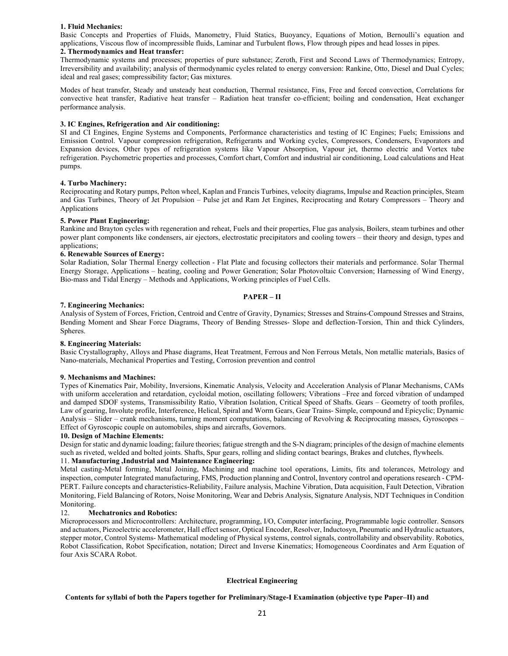#### **1. Fluid Mechanics:**

Basic Concepts and Properties of Fluids, Manometry, Fluid Statics, Buoyancy, Equations of Motion, Bernoulli's equation and applications, Viscous flow of incompressible fluids, Laminar and Turbulent flows, Flow through pipes and head losses in pipes.

#### **2. Thermodynamics and Heat transfer:**

Thermodynamic systems and processes; properties of pure substance; Zeroth, First and Second Laws of Thermodynamics; Entropy, Irreversibility and availability; analysis of thermodynamic cycles related to energy conversion: Rankine, Otto, Diesel and Dual Cycles; ideal and real gases; compressibility factor; Gas mixtures.

Modes of heat transfer, Steady and unsteady heat conduction, Thermal resistance, Fins, Free and forced convection, Correlations for convective heat transfer, Radiative heat transfer – Radiation heat transfer co-efficient; boiling and condensation, Heat exchanger performance analysis.

#### **3. IC Engines, Refrigeration and Air conditioning:**

SI and CI Engines, Engine Systems and Components, Performance characteristics and testing of IC Engines; Fuels; Emissions and Emission Control. Vapour compression refrigeration, Refrigerants and Working cycles, Compressors, Condensers, Evaporators and Expansion devices, Other types of refrigeration systems like Vapour Absorption, Vapour jet, thermo electric and Vortex tube refrigeration. Psychometric properties and processes, Comfort chart, Comfort and industrial air conditioning, Load calculations and Heat pumps.

#### **4. Turbo Machinery:**

Reciprocating and Rotary pumps, Pelton wheel, Kaplan and Francis Turbines, velocity diagrams, Impulse and Reaction principles, Steam and Gas Turbines, Theory of Jet Propulsion – Pulse jet and Ram Jet Engines, Reciprocating and Rotary Compressors – Theory and Applications

#### **5. Power Plant Engineering:**

Rankine and Brayton cycles with regeneration and reheat, Fuels and their properties, Flue gas analysis, Boilers, steam turbines and other power plant components like condensers, air ejectors, electrostatic precipitators and cooling towers – their theory and design, types and applications;

#### **6. Renewable Sources of Energy:**

Solar Radiation, Solar Thermal Energy collection - Flat Plate and focusing collectors their materials and performance. Solar Thermal Energy Storage, Applications – heating, cooling and Power Generation; Solar Photovoltaic Conversion; Harnessing of Wind Energy, Bio-mass and Tidal Energy – Methods and Applications, Working principles of Fuel Cells.

#### **PAPER – II**

#### **7. Engineering Mechanics:**

Analysis of System of Forces, Friction, Centroid and Centre of Gravity, Dynamics; Stresses and Strains-Compound Stresses and Strains, Bending Moment and Shear Force Diagrams, Theory of Bending Stresses- Slope and deflection-Torsion, Thin and thick Cylinders, Spheres.

#### **8. Engineering Materials:**

Basic Crystallography, Alloys and Phase diagrams, Heat Treatment, Ferrous and Non Ferrous Metals, Non metallic materials, Basics of Nano-materials, Mechanical Properties and Testing, Corrosion prevention and control

#### **9. Mechanisms and Machines:**

Types of Kinematics Pair, Mobility, Inversions, Kinematic Analysis, Velocity and Acceleration Analysis of Planar Mechanisms, CAMs with uniform acceleration and retardation, cycloidal motion, oscillating followers; Vibrations –Free and forced vibration of undamped and damped SDOF systems, Transmissibility Ratio, Vibration Isolation, Critical Speed of Shafts. Gears – Geometry of tooth profiles, Law of gearing, Involute profile, Interference, Helical, Spiral and Worm Gears, Gear Trains- Simple, compound and Epicyclic; Dynamic Analysis – Slider – crank mechanisms, turning moment computations, balancing of Revolving & Reciprocating masses, Gyroscopes – Effect of Gyroscopic couple on automobiles, ships and aircrafts, Governors.

#### **10. Design of Machine Elements:**

Design for static and dynamic loading; failure theories; fatigue strength and the S-N diagram; principles of the design of machine elements such as riveted, welded and bolted joints. Shafts, Spur gears, rolling and sliding contact bearings, Brakes and clutches, flywheels.

#### 11. **Manufacturing ,Industrial and Maintenance Engineering:**

Metal casting-Metal forming, Metal Joining, Machining and machine tool operations, Limits, fits and tolerances, Metrology and inspection, computer Integrated manufacturing, FMS, Production planning and Control, Inventory control and operations research - CPM-PERT. Failure concepts and characteristics-Reliability, Failure analysis, Machine Vibration, Data acquisition, Fault Detection, Vibration Monitoring, Field Balancing of Rotors, Noise Monitoring, Wear and Debris Analysis, Signature Analysis, NDT Techniques in Condition Monitoring.

#### 12. **Mechatronics and Robotics:**

Microprocessors and Microcontrollers: Architecture, programming, I/O, Computer interfacing, Programmable logic controller. Sensors and actuators, Piezoelectric accelerometer, Hall effect sensor, Optical Encoder, Resolver, Inductosyn, Pneumatic and Hydraulic actuators, stepper motor, Control Systems- Mathematical modeling of Physical systems, control signals, controllability and observability. Robotics, Robot Classification, Robot Specification, notation; Direct and Inverse Kinematics; Homogeneous Coordinates and Arm Equation of four Axis SCARA Robot.

#### **Electrical Engineering**

#### **Contents for syllabi of both the Papers together for Preliminary/Stage-I Examination (objective type Paper–II) and**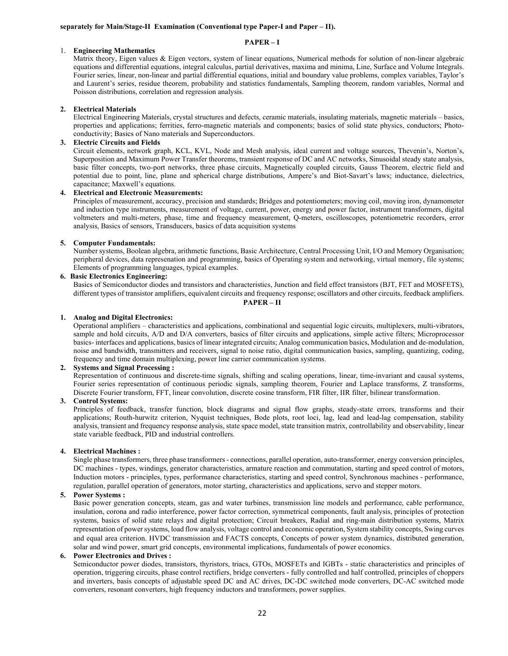#### **PAPER – I**

### 1. **Engineering Mathematics**

Matrix theory, Eigen values & Eigen vectors, system of linear equations, Numerical methods for solution of non-linear algebraic equations and differential equations, integral calculus, partial derivatives, maxima and minima, Line, Surface and Volume Integrals. Fourier series, linear, non-linear and partial differential equations, initial and boundary value problems, complex variables, Taylor's and Laurent's series, residue theorem, probability and statistics fundamentals, Sampling theorem, random variables, Normal and Poisson distributions, correlation and regression analysis.

#### **2. Electrical Materials**

Electrical Engineering Materials, crystal structures and defects, ceramic materials, insulating materials, magnetic materials – basics, properties and applications; ferrities, ferro-magnetic materials and components; basics of solid state physics, conductors; Photoconductivity; Basics of Nano materials and Superconductors.

#### **3. Electric Circuits and Fields**

Circuit elements, network graph, KCL, KVL, Node and Mesh analysis, ideal current and voltage sources, Thevenin's, Norton's, Superposition and Maximum Power Transfer theorems, transient response of DC and AC networks, Sinusoidal steady state analysis, basic filter concepts, two-port networks, three phase circuits, Magnetically coupled circuits, Gauss Theorem, electric field and potential due to point, line, plane and spherical charge distributions, Ampere's and Biot-Savart's laws; inductance, dielectrics, capacitance; Maxwell's equations.

#### **4. Electrical and Electronic Measurements:**

Principles of measurement, accuracy, precision and standards; Bridges and potentiometers; moving coil, moving iron, dynamometer and induction type instruments, measurement of voltage, current, power, energy and power factor, instrument transformers, digital voltmeters and multi-meters, phase, time and frequency measurement, Q-meters, oscilloscopes, potentiometric recorders, error analysis, Basics of sensors, Transducers, basics of data acquisition systems

#### **5. Computer Fundamentals:**

Number systems, Boolean algebra, arithmetic functions, Basic Architecture, Central Processing Unit, I/O and Memory Organisation; peripheral devices, data represenation and programming, basics of Operating system and networking, virtual memory, file systems; Elements of programming languages, typical examples.

#### **6. Basic Electronics Engineering:**

Basics of Semiconductor diodes and transistors and characteristics, Junction and field effect transistors (BJT, FET and MOSFETS), different types of transistor amplifiers, equivalent circuits and frequency response; oscillators and other circuits, feedback amplifiers.

**PAPER – II**

## **1. Analog and Digital Electronics:**

Operational amplifiers – characteristics and applications, combinational and sequential logic circuits, multiplexers, multi-vibrators, sample and hold circuits, A/D and D/A converters, basics of filter circuits and applications, simple active filters; Microprocessor basics- interfaces and applications, basics of linear integrated circuits; Analog communication basics, Modulation and de-modulation, noise and bandwidth, transmitters and receivers, signal to noise ratio, digital communication basics, sampling, quantizing, coding, frequency and time domain multiplexing, power line carrier communication systems.

#### **2. Systems and Signal Processing :**

Representation of continuous and discrete-time signals, shifting and scaling operations, linear, time-invariant and causal systems, Fourier series representation of continuous periodic signals, sampling theorem, Fourier and Laplace transforms, Z transforms, Discrete Fourier transform, FFT, linear convolution, discrete cosine transform, FIR filter, IIR filter, bilinear transformation.

#### **3. Control Systems:**

Principles of feedback, transfer function, block diagrams and signal flow graphs, steady-state errors, transforms and their applications; Routh-hurwitz criterion, Nyquist techniques, Bode plots, root loci, lag, lead and lead-lag compensation, stability analysis, transient and frequency response analysis, state space model, state transition matrix, controllability and observability, linear state variable feedback, PID and industrial controllers.

#### **4. Electrical Machines :**

Single phase transformers, three phase transformers - connections, parallel operation, auto-transformer, energy conversion principles, DC machines - types, windings, generator characteristics, armature reaction and commutation, starting and speed control of motors, Induction motors - principles, types, performance characteristics, starting and speed control, Synchronous machines - performance, regulation, parallel operation of generators, motor starting, characteristics and applications, servo and stepper motors.

#### **5. Power Systems :**

Basic power generation concepts, steam, gas and water turbines, transmission line models and performance, cable performance, insulation, corona and radio interference, power factor correction, symmetrical components, fault analysis, principles of protection systems, basics of solid state relays and digital protection; Circuit breakers, Radial and ring-main distribution systems, Matrix representation of power systems, load flow analysis, voltage control and economic operation, System stability concepts, Swing curves and equal area criterion. HVDC transmission and FACTS concepts, Concepts of power system dynamics, distributed generation, solar and wind power, smart grid concepts, environmental implications, fundamentals of power economics.

#### **6. Power Electronics and Drives :**

Semiconductor power diodes, transistors, thyristors, triacs, GTOs, MOSFETs and IGBTs - static characteristics and principles of operation, triggering circuits, phase control rectifiers, bridge converters - fully controlled and half controlled, principles of choppers and inverters, basis concepts of adjustable speed DC and AC drives, DC-DC switched mode converters, DC-AC switched mode converters, resonant converters, high frequency inductors and transformers, power supplies.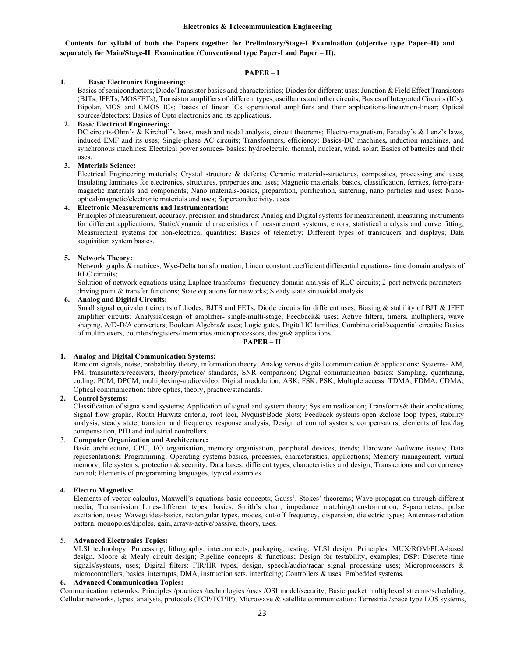**Contents for syllabi of both the Papers together for Preliminary/Stage-I Examination (objective type Paper–II) and separately for Main/Stage-II Examination (Conventional type Paper-I and Paper – II).** 

### **PAPER – I**

#### **1. Basic Electronics Engineering:**

Basics of semiconductors; Diode/Transistor basics and characteristics; Diodes for different uses; Junction & Field Effect Transistors (BJTs, JFETs, MOSFETs); Transistor amplifiers of different types, oscillators and other circuits; Basics of Integrated Circuits (ICs); Bipolar, MOS and CMOS ICs; Basics of linear ICs, operational amplifiers and their applications-linear/non-linear; Optical sources/detectors; Basics of Opto electronics and its applications.

#### **2. Basic Electrical Engineering:**

DC circuits-Ohm's & Kirchoff's laws, mesh and nodal analysis, circuit theorems; Electro-magnetism, Faraday's & Lenz's laws, induced EMF and its uses; Single-phase AC circuits; Transformers, efficiency; Basics-DC machines**,** induction machines, and synchronous machines; Electrical power sources- basics: hydroelectric, thermal, nuclear, wind, solar; Basics of batteries and their uses.

#### **3. Materials Science:**

Electrical Engineering materials; Crystal structure & defects; Ceramic materials-structures, composites, processing and uses; Insulating laminates for electronics, structures, properties and uses; Magnetic materials, basics, classification, ferrites, ferro/paramagnetic materials and components; Nano materials-basics, preparation, purification, sintering, nano particles and uses; Nanooptical/magnetic/electronic materials and uses; Superconductivity, uses.

#### **4. Electronic Measurements and Instrumentation:**

Principles of measurement, accuracy, precision and standards; Analog and Digital systems for measurement, measuring instruments for different applications; Static/dynamic characteristics of measurement systems, errors, statistical analysis and curve fitting; Measurement systems for non-electrical quantities; Basics of telemetry; Different types of transducers and displays; Data acquisition system basics.

#### **5. Network Theory:**

Network graphs & matrices; Wye-Delta transformation; Linear constant coefficient differential equations- time domain analysis of RLC circuits;

Solution of network equations using Laplace transforms- frequency domain analysis of RLC circuits; 2-port network parametersdriving point & transfer functions; State equations for networks; Steady state sinusoidal analysis.

#### **6. Analog and Digital Circuits:**

Small signal equivalent circuits of diodes, BJTS and FETs; Diode circuits for different uses; Biasing & stability of BJT & JFET amplifier circuits; Analysis/design of amplifier- single/multi-stage; Feedback& uses; Active filters, timers, multipliers, wave shaping, A/D-D/A converters; Boolean Algebra& uses; Logic gates, Digital IC families, Combinatorial/sequential circuits; Basics of multiplexers, counters/registers/ memories /microprocessors, design& applications.

## **PAPER – II**

#### **1. Analog and Digital Communication Systems:**

Random signals, noise, probability theory, information theory; Analog versus digital communication & applications: Systems- AM, FM, transmitters/receivers, theory/practice/ standards, SNR comparison; Digital communication basics: Sampling, quantizing, coding, PCM, DPCM, multiplexing-audio/video; Digital modulation: ASK, FSK, PSK; Multiple access: TDMA, FDMA, CDMA; Optical communication: fibre optics, theory, practice/standards.

#### **2. Control Systems:**

Classification of signals and systems; Application of signal and system theory; System realization; Transforms& their applications; Signal flow graphs, Routh-Hurwitz criteria, root loci, Nyquist/Bode plots; Feedback systems-open &close loop types, stability analysis, steady state, transient and frequency response analysis; Design of control systems, compensators, elements of lead/lag compensation, PID and industrial controllers.

#### 3. **Computer Organization and Architecture:**

Basic architecture, CPU, I/O organisation, memory organisation, peripheral devices, trends; Hardware /software issues; Data representation& Programming; Operating systems-basics, processes, characteristics, applications; Memory management, virtual memory, file systems, protection & security; Data bases, different types, characteristics and design; Transactions and concurrency control; Elements of programming languages, typical examples.

#### **4. Electro Magnetics:**

Elements of vector calculus, Maxwell's equations-basic concepts; Gauss', Stokes' theorems; Wave propagation through different media; Transmission Lines-different types, basics, Smith's chart, impedance matching/transformation, S-parameters, pulse excitation, uses; Waveguides-basics, rectangular types, modes, cut-off frequency, dispersion, dielectric types; Antennas-radiation pattern, monopoles/dipoles, gain, arrays-active/passive, theory, uses.

#### 5. **Advanced Electronics Topics:**

VLSI technology: Processing, lithography, interconnects, packaging, testing; VLSI design: Principles, MUX/ROM/PLA-based design, Moore & Mealy circuit design; Pipeline concepts & functions; Design for testability, examples; DSP: Discrete time signals/systems, uses; Digital filters: FIR/IIR types, design, speech/audio/radar signal processing uses; Microprocessors & microcontrollers, basics, interrupts, DMA, instruction sets, interfacing; Controllers & uses; Embedded systems.

#### **6. Advanced Communication Topics:**

Communication networks: Principles /practices /technologies /uses /OSI model/security; Basic packet multiplexed streams/scheduling; Cellular networks, types, analysis, protocols (TCP/TCPIP); Microwave & satellite communication: Terrestrial/space type LOS systems,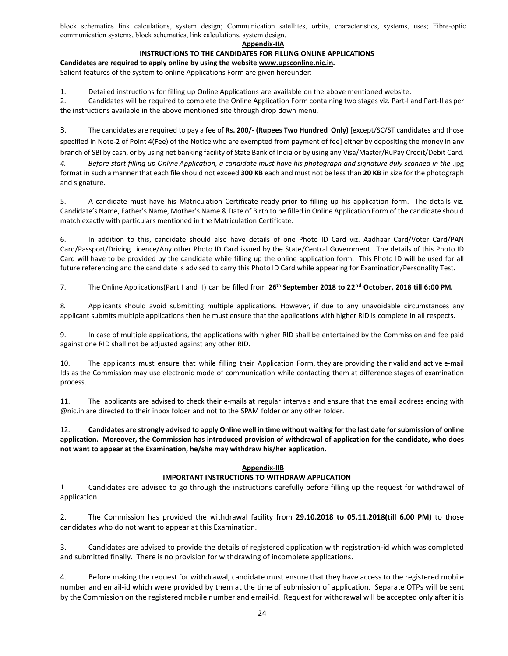block schematics link calculations, system design; Communication satellites, orbits, characteristics, systems, uses; Fibre-optic communication systems, block schematics, link calculations, system design.

## **Appendix‐IIA**

## **INSTRUCTIONS TO THE CANDIDATES FOR FILLING ONLINE APPLICATIONS**

**Candidates are required to apply online by using the website www.upsconline.nic.in.**  Salient features of the system to online Applications Form are given hereunder:

1. Detailed instructions for filling up Online Applications are available on the above mentioned website.

2. Candidates will be required to complete the Online Application Form containing two stages viz. Part-I and Part-II as per the instructions available in the above mentioned site through drop down menu.

3. The candidates are required to pay a fee of **Rs. 200/‐ (Rupees Two Hundred Only)** [except/SC/ST candidates and those specified in Note-2 of Point 4(Fee) of the Notice who are exempted from payment of fee] either by depositing the money in any branch of SBI by cash, or by using net banking facility of State Bank of India or by using any Visa/Master/RuPay Credit/Debit Card. *4. Before start filling up Online Application, a candidate must have his photograph and signature duly scanned in the* .jpg format in such a manner that each file should not exceed **300 KB** each and must not be less than **20 KB** in size for the photograph and signature.

5. A candidate must have his Matriculation Certificate ready prior to filling up his application form. The details viz. Candidate's Name, Father's Name, Mother's Name & Date of Birth to be filled in Online Application Form of the candidate should match exactly with particulars mentioned in the Matriculation Certificate.

6. In addition to this, candidate should also have details of one Photo ID Card viz. Aadhaar Card/Voter Card/PAN Card/Passport/Driving Licence/Any other Photo ID Card issued by the State/Central Government. The details of this Photo ID Card will have to be provided by the candidate while filling up the online application form. This Photo ID will be used for all future referencing and the candidate is advised to carry this Photo ID Card while appearing for Examination/Personality Test.

7. The Online Applications(Part I and II) can be filled from 26<sup>th</sup> September 2018 to 22<sup>nd</sup> October, 2018 till 6:00 PM.

8. Applicants should avoid submitting multiple applications. However, if due to any unavoidable circumstances any applicant submits multiple applications then he must ensure that the applications with higher RID is complete in all respects.

9. In case of multiple applications, the applications with higher RID shall be entertained by the Commission and fee paid against one RID shall not be adjusted against any other RID.

10. The applicants must ensure that while filling their Application Form, they are providing their valid and active e-mail Ids as the Commission may use electronic mode of communication while contacting them at difference stages of examination process.

11. The applicants are advised to check their e-mails at regular intervals and ensure that the email address ending with @nic.in are directed to their inbox folder and not to the SPAM folder or any other folder.

12. **Candidates are strongly advised to apply Online well in time without waiting for the last date for submission of online application. Moreover, the Commission has introduced provision of withdrawal of application for the candidate, who does not want to appear at the Examination, he/she may withdraw his/her application.** 

## **Appendix‐IIB**

## **IMPORTANT INSTRUCTIONS TO WITHDRAW APPLICATION**

1. Candidates are advised to go through the instructions carefully before filling up the request for withdrawal of application.

2. The Commission has provided the withdrawal facility from **29.10.2018 to 05.11.2018(till 6.00 PM)** to those candidates who do not want to appear at this Examination.

3. Candidates are advised to provide the details of registered application with registration‐id which was completed and submitted finally. There is no provision for withdrawing of incomplete applications.

4. Before making the request for withdrawal, candidate must ensure that they have access to the registered mobile number and email-id which were provided by them at the time of submission of application. Separate OTPs will be sent by the Commission on the registered mobile number and email‐id. Request for withdrawal will be accepted only after it is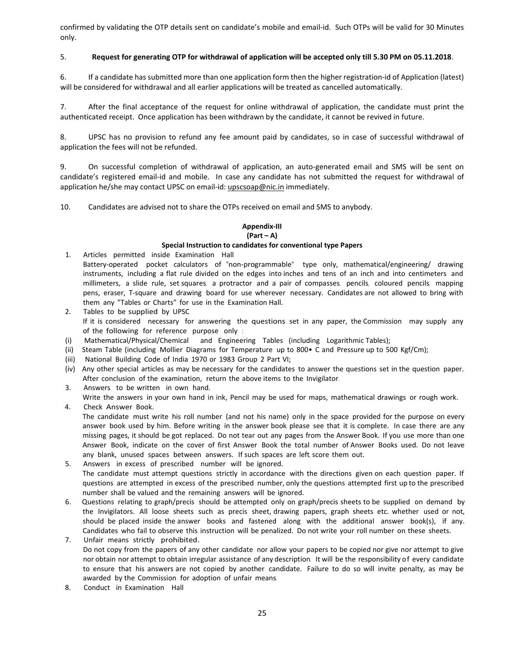confirmed by validating the OTP details sent on candidate's mobile and email-id. Such OTPs will be valid for 30 Minutes only.

# 5. **Request for generating OTP for withdrawal of application will be accepted only till 5.30 PM on 05.11.2018**.

6. If a candidate has submitted more than one application form then the higher registration‐id of Application (latest) will be considered for withdrawal and all earlier applications will be treated as cancelled automatically.

7. After the final acceptance of the request for online withdrawal of application, the candidate must print the authenticated receipt. Once application has been withdrawn by the candidate, it cannot be revived in future.

8. UPSC has no provision to refund any fee amount paid by candidates, so in case of successful withdrawal of application the fees will not be refunded.

9. On successful completion of withdrawal of application, an auto-generated email and SMS will be sent on candidate's registered email‐id and mobile. In case any candidate has not submitted the request for withdrawal of application he/she may contact UPSC on email-id: upscsoap@nic.in immediately.

10. Candidates are advised not to share the OTPs received on email and SMS to anybody.

## **Appendix‐III (Part – A)**

## **Special Instruction to candidates for conventional type Papers**

- 1. Articles permitted inside Examination Hall
- Battery-operated pocket calculators of "non-programmable" type only, mathematical/engineering/ drawing instruments, including a flat rule divided on the edges into inches and tens of an inch and into centimeters and millimeters, a slide rule, set squares, a protractor and a pair of compasses, pencils, coloured pencils, mapping pens, eraser, T-square and drawing board for use wherever necessary. Candidates are not allowed to bring with them any "Tables or Charts" for use in the Examination Hall.
- 2. Tables to be supplied by UPSC If it is considered necessary for answering the questions set in any paper, the Commission may supply any of the following for reference purpose only :
- (i) Mathematical/Physical/Chemical and Engineering Tables (including Logarithmic Tables);
- (ii) Steam Table (including Mollier Diagrams for Temperature up to 800• C and Pressure up to 500 Kgf/Cm);
- (iii) National Building Code of India 1970 or 1983 Group 2 Part VI;
- (iv) Any other special articles as may be necessary for the candidates to answer the questions set in the question paper. After conclusion of the examination, return the above items to the Invigilator.
- 3. Answers to be written in own hand.

Write the answers in your own hand in ink, Pencil may be used for maps, mathematical drawings or rough work.

4. Check Answer Book. The candidate must write his roll number (and not his name) only in the space provided for the purpose on every answer book used by him. Before writing in the answer book, please see that it is complete. In case there are any missing pages, it should be got replaced. Do not tear out any pages from the Answer Book. If you use more than one Answer Book, indicate on the cover of first Answer Book the total number of Answer Books used. Do not leave any blank, unused spaces between answers. If such spaces are left, score them out.

- 5. Answers in excess of prescribed number will be ignored. The candidate must attempt questions strictly in accordance with the directions given on each question paper. If questions are attempted in excess of the prescribed number, only the questions attempted first up to the prescribed number shall be valued and the remaining answers will be ignored.
- 6. Questions relating to graph/precis should be attempted only on graph/precis sheets to be supplied on demand by the Invigilators. All loose sheets such as precis sheet, drawing papers, graph sheets etc. whether used or not, should be placed inside the answer books and fastened along with the additional answer book(s), if any. Candidates who fail to observe this instruction will be penalized. Do not write your roll number on these sheets.
- 7. Unfair means strictly prohibited. Do not copy from the papers of any other candidate nor allow your papers to be copied nor give nor attempt to give nor obtain nor attempt to obtain irregular assistance of any description. It will be the responsibility of every candidate to ensure that his answers are not copied by another candidate. Failure to do so will invite penalty, as may be awarded by the Commission for adoption of unfair means.
- 8. Conduct in Examination Hall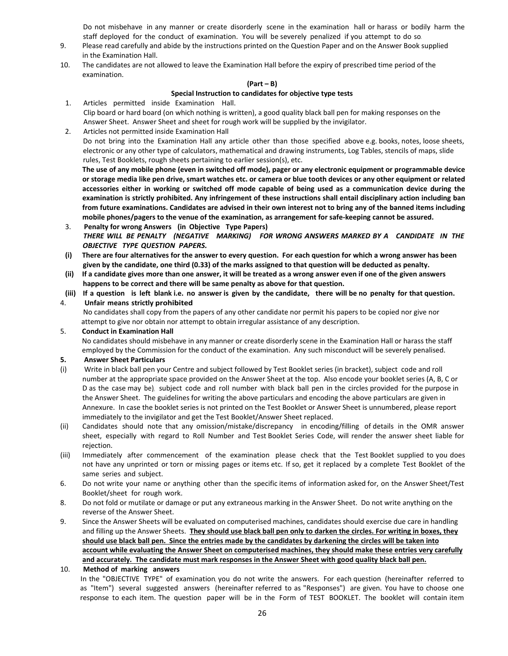Do not misbehave in any manner or create disorderly scene in the examination hall or harass or bodily harm the staff deployed for the conduct of examination. You will be severely penalized if you attempt to do so.

- 9. Please read carefully and abide by the instructions printed on the Question Paper and on the Answer Book supplied in the Examination Hall.
- 10. The candidates are not allowed to leave the Examination Hall before the expiry of prescribed time period of the examination.

#### **(Part – B)**

## **Special Instruction to candidates for objective type tests**

- 1. Articles permitted inside Examination Hall.  Clip board or hard board (on which nothing is written), a good quality black ball pen for making responses on the Answer Sheet. Answer Sheet and sheet for rough work will be supplied by the invigilator.
- 2. Articles not permitted inside Examination Hall Do not bring into the Examination Hall any article other than those specified above e.g. books, notes, loose sheets, electronic or any other type of calculators, mathematical and drawing instruments, Log Tables, stencils of maps, slide rules, Test Booklets, rough sheets pertaining to earlier session(s), etc.

**The use of any mobile phone (even in switched off mode), pager or any electronic equipment or programmable device or storage media like pen drive, smart watches etc. or camera or blue tooth devices or any other equipment or related accessories either in working or switched off mode capable of being used as a communication device during the examination is strictly prohibited. Any infringement of these instructions shall entail disciplinary action including ban from future examinations. Candidates are advised in their own interest not to bring any of the banned items including mobile phones/pagers to the venue of the examination, as arrangement for safe‐keeping cannot be assured.** 

- 3. **Penalty for wrong Answers (in Objective Type Papers)** *THERE WILL BE PENALTY (NEGATIVE MARKING) FOR WRONG ANSWERS MARKED BY A CANDIDATE IN THE OBJECTIVE TYPE QUESTION PAPERS.*
- **(i) There are four alternatives for the answer to every question. For each question for which a wrong answer has been given by the candidate, one third (0.33) of the marks assigned to that question will be deducted as penalty.**
- **(ii) If a candidate gives more than one answer, it will be treated as a wrong answer even if one of the given answers happens to be correct and there will be same penalty as above for that question.**
- **(iii) If a question is left blank i.e. no answer is given by the candidate, there will be no penalty for that question.**

# 4. **Unfair means strictly prohibited**

 No candidates shall copy from the papers of any other candidate nor permit his papers to be copied nor give nor attempt to give nor obtain nor attempt to obtain irregular assistance of any description.

## 5. **Conduct in Examination Hall**

No candidates should misbehave in any manner or create disorderly scene in the Examination Hall or harass the staff employed by the Commission for the conduct of the examination. Any such misconduct will be severely penalised.

## **5. Answer Sheet Particulars**

- (i) Write in black ball pen your Centre and subject followed by Test Booklet series (in bracket), subject code and roll number at the appropriate space provided on the Answer Sheet at the top. Also encode your booklet series (A, B, C or D as the case may be), subject code and roll number with black ball pen in the circles provided for the purpose in the Answer Sheet. The guidelines for writing the above particulars and encoding the above particulars are given in Annexure. In case the booklet series is not printed on the Test Booklet or Answer Sheet is unnumbered, please report immediately to the invigilator and get the Test Booklet/Answer Sheet replaced.
- (ii) Candidates should note that any omission/mistake/discrepancy in encoding/filling of details in the OMR answer sheet, especially with regard to Roll Number and Test Booklet Series Code, will render the answer sheet liable for rejection.
- (iii) Immediately after commencement of the examination please check that the Test Booklet supplied to you does not have any unprinted or torn or missing pages or items etc. If so, get it replaced by a complete Test Booklet of the same series and subject.
- 6. Do not write your name or anything other than the specific items of information asked for, on the Answer Sheet/Test Booklet/sheet for rough work.
- 8. Do not fold or mutilate or damage or put any extraneous marking in the Answer Sheet. Do not write anything on the reverse of the Answer Sheet.
- 9. Since the Answer Sheets will be evaluated on computerised machines, candidates should exercise due care in handling and filling up the Answer Sheets. **They should use black ball pen only to darken the circles. For writing in boxes, they should use black ball pen. Since the entries made by the candidates by darkening the circles will be taken into account while evaluating the Answer Sheet on computerised machines, they should make these entries very carefully and accurately. The candidate must mark responses in the Answer Sheet with good quality black ball pen.**

# 10. **Method of marking answers**

In the "OBJECTIVE TYPE" of examination, you do not write the answers. For each question (hereinafter referred to as "Item") several suggested answers (hereinafter referred to as "Responses") are given. You have to choose one response to each item. The question paper will be in the Form of TEST BOOKLET. The booklet will contain item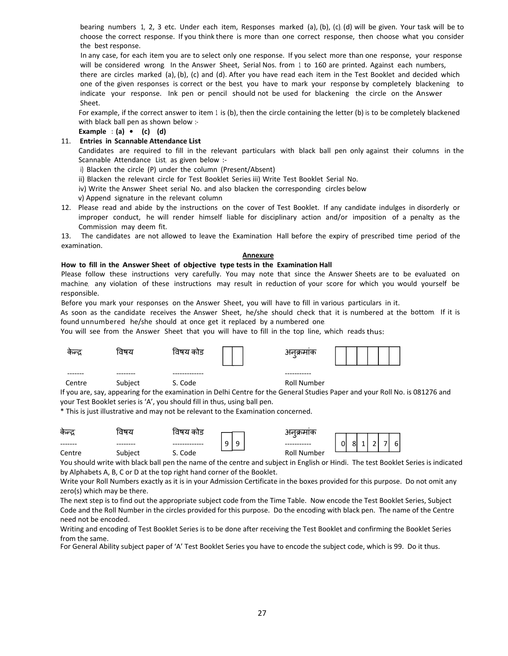bearing numbers 1, 2, 3 etc. Under each item, Responses marked (a), (b), (c), (d) will be given. Your task will be to choose the correct response. If you think there is more than one correct response, then choose what you consider the best response.

In any case, for each item you are to select only one response. If you select more than one response, your response will be considered wrong. In the Answer Sheet, Serial Nos. from 1 to 160 are printed. Against each numbers, there are circles marked (a), (b), (c) and (d). After you have read each item in the Test Booklet and decided which one of the given responses is correct or the best, you have to mark your response by completely blackening to indicate your response. Ink pen or pencil should not be used for blackening the circle on the Answer Sheet.

For example, if the correct answer to item 1 is (b), then the circle containing the letter (b) is to be completely blackened with black ball pen as shown below :-

**Example : (a) • (c) (d)**

# 11. **Entries in Scannable Attendance List**

Candidates are required to fill in the relevant particulars with black ball pen only against their columns in the Scannable Attendance List, as given below :-

- i) Blacken the circle (P) under the column (Present/Absent)
- ii) Blacken the relevant circle for Test Booklet Series iii) Write Test Booklet Serial No.
- iv) Write the Answer Sheet serial No. and also blacken the corresponding circles below
- v) Append signature in the relevant column
- 12. Please read and abide by the instructions on the cover of Test Booklet. If any candidate indulges in disorderly or improper conduct, he will render himself liable for disciplinary action and/or imposition of a penalty as the Commission may deem fit.

13. The candidates are not allowed to leave the Examination Hall before the expiry of prescribed time period of the examination.

#### **Annexure**

#### **How to fill in the Answer Sheet of objective type tests in the Examination Hall**

Please follow these instructions very carefully. You may note that since the Answer Sheets are to be evaluated on machine, any violation of these instructions may result in reduction of your score for which you would yourself be responsible.

Before you mark your responses on the Answer Sheet, you will have to fill in various particulars in it.

As soon as the candidate receives the Answer Sheet, he/she should check that it is numbered at the bottom. If it is found unnumbered he/she should at once get it replaced by a numbered one.

You will see from the Answer Sheet that you will have to fill in the top line, which reads thus:

| কলু    | विषय          | विषय कोड | अनक्रमाक<br>د |  |
|--------|---------------|----------|---------------|--|
|        | ----<br>----- |          |               |  |
| Centre | Subject       | S. Code  | Roll Number   |  |

If you are, say, appearing for the examination in Delhi Centre for the General Studies Paper and your Roll No. is 081276 and your Test Booklet series is 'A', you should fill in thus, using ball pen.

\* This is just illustrative and may not be relevant to the Examination concerned.

| कन्द्र   | ਰਧਣ     | विषय काड |                  | २१ ये सम्राप्त     |                                        |
|----------|---------|----------|------------------|--------------------|----------------------------------------|
| -------- |         |          | q<br>Q<br>◡<br>۔ |                    | -<br>$6 \mid$<br>0<br>$\sim$<br>8<br>- |
| Centre   | Subject | Code     |                  | <b>Roll Number</b> |                                        |

You should write with black ball pen the name of the centre and subject in English or Hindi. The test Booklet Series is indicated by Alphabets A, B, C or D at the top right hand corner of the Booklet.

Write your Roll Numbers exactly as it is in your Admission Certificate in the boxes provided for this purpose. Do not omit any zero(s) which may be there.

The next step is to find out the appropriate subject code from the Time Table. Now encode the Test Booklet Series, Subject Code and the Roll Number in the circles provided for this purpose. Do the encoding with black pen. The name of the Centre need not be encoded.

Writing and encoding of Test Booklet Series is to be done after receiving the Test Booklet and confirming the Booklet Series from the same.

For General Ability subject paper of 'A' Test Booklet Series you have to encode the subject code, which is 99. Do it thus.